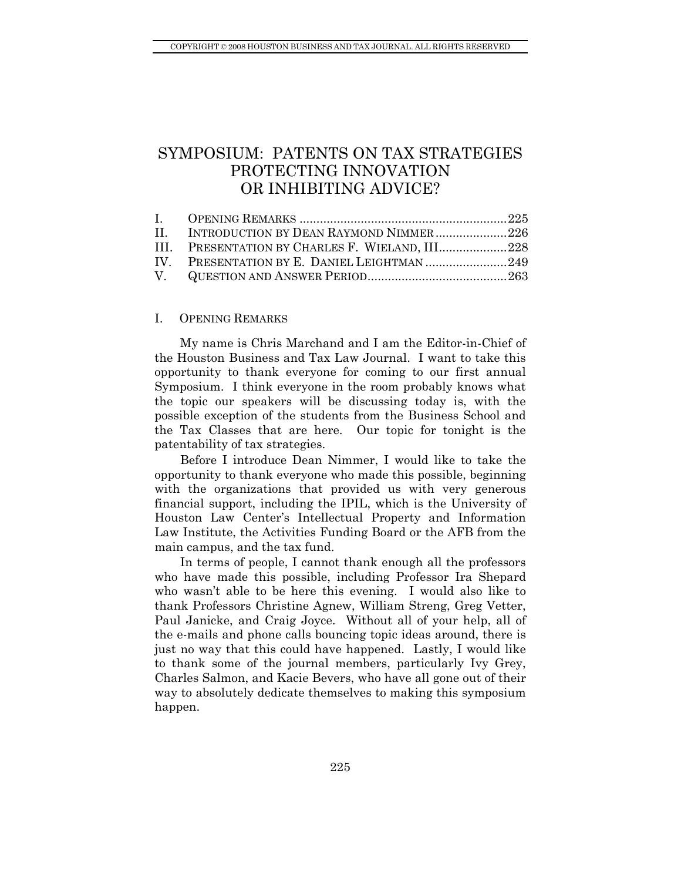# <span id="page-0-0"></span>SYMPOSIUM: PATENTS ON TAX STRATEGIES PROTECTING INNOVATION OR INHIBITING ADVICE?

| II. INTRODUCTION BY DEAN RAYMOND NIMMER226      |  |
|-------------------------------------------------|--|
| III. PRESENTATION BY CHARLES F. WIELAND, III228 |  |
| IV. PRESENTATION BY E. DANIEL LEIGHTMAN 249     |  |
|                                                 |  |

# I. OPENING REMARKS

My name is Chris Marchand and I am the Editor-in-Chief of the Houston Business and Tax Law Journal. I want to take this opportunity to thank everyone for coming to our first annual Symposium. I think everyone in the room probably knows what the topic our speakers will be discussing today is, with the possible exception of the students from the Business School and the Tax Classes that are here. Our topic for tonight is the patentability of tax strategies.

Before I introduce Dean Nimmer, I would like to take the opportunity to thank everyone who made this possible, beginning with the organizations that provided us with very generous financial support, including the IPIL, which is the University of Houston Law Center's Intellectual Property and Information Law Institute, the Activities Funding Board or the AFB from the main campus, and the tax fund.

In terms of people, I cannot thank enough all the professors who have made this possible, including Professor Ira Shepard who wasn't able to be here this evening. I would also like to thank Professors Christine Agnew, William Streng, Greg Vetter, Paul Janicke, and Craig Joyce. Without all of your help, all of the e-mails and phone calls bouncing topic ideas around, there is just no way that this could have happened. Lastly, I would like to thank some of the journal members, particularly Ivy Grey, Charles Salmon, and Kacie Bevers, who have all gone out of their way to absolutely dedicate themselves to making this symposium happen.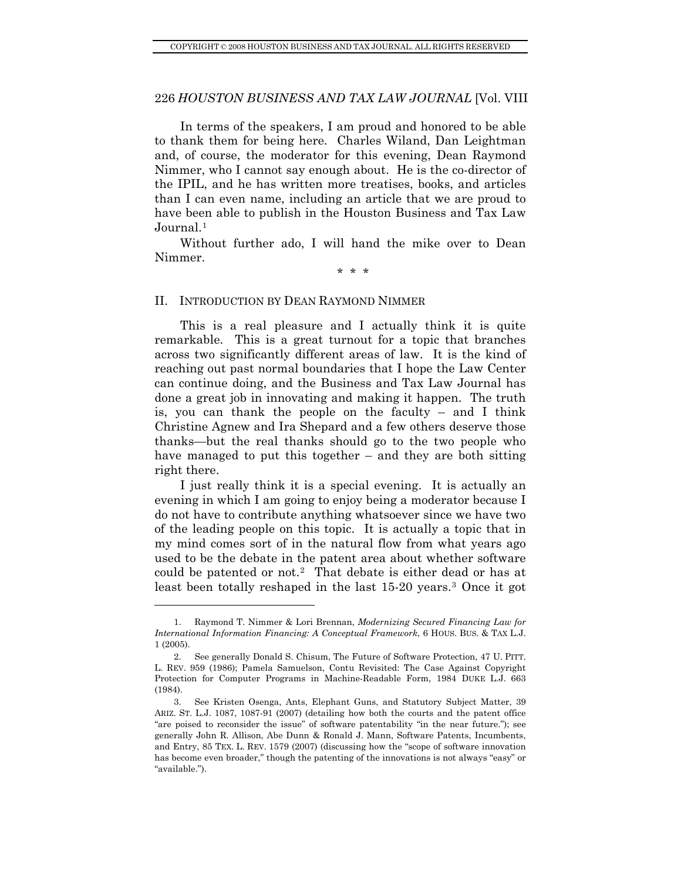<span id="page-1-0"></span>In terms of the speakers, I am proud and honored to be able to thank them for being here. Charles Wiland, Dan Leightman and, of course, the moderator for this evening, Dean Raymond Nimmer, who I cannot say enough about. He is the co-director of the IPIL, and he has written more treatises, books, and articles than I can even name, including an article that we are proud to have been able to publish in the Houston Business and Tax Law Journal.<sup>[1](#page-1-1)</sup>

Without further ado, I will hand the mike over to Dean Nimmer.

\* \* \*

#### II. INTRODUCTION BY DEAN RAYMOND NIMMER

This is a real pleasure and I actually think it is quite remarkable. This is a great turnout for a topic that branches across two significantly different areas of law. It is the kind of reaching out past normal boundaries that I hope the Law Center can continue doing, and the Business and Tax Law Journal has done a great job in innovating and making it happen. The truth is, you can thank the people on the faculty – and I think Christine Agnew and Ira Shepard and a few others deserve those thanks—but the real thanks should go to the two people who have managed to put this together – and they are both sitting right there.

I just really think it is a special evening. It is actually an evening in which I am going to enjoy being a moderator because I do not have to contribute anything whatsoever since we have two of the leading people on this topic. It is actually a topic that in my mind comes sort of in the natural flow from what years ago used to be the debate in the patent area about whether software could be patented or not.[2](#page-1-2) That debate is either dead or has at least been totally reshaped in the last 15-20 years.[3](#page-1-3) Once it got

<span id="page-1-1"></span> <sup>1.</sup> Raymond T. Nimmer & Lori Brennan, *Modernizing Secured Financing Law for International Information Financing: A Conceptual Framework*, 6 HOUS. BUS. & TAX L.J. 1 (2005).

<span id="page-1-2"></span> <sup>2.</sup> See generally Donald S. Chisum, The Future of Software Protection, 47 U. PITT. L. REV. 959 (1986); Pamela Samuelson, Contu Revisited: The Case Against Copyright Protection for Computer Programs in Machine-Readable Form, 1984 DUKE L.J. 663 (1984).

<span id="page-1-3"></span> <sup>3.</sup> See Kristen Osenga, Ants, Elephant Guns, and Statutory Subject Matter, 39 ARIZ. ST. L.J. 1087, 1087-91 (2007) (detailing how both the courts and the patent office "are poised to reconsider the issue" of software patentability "in the near future."); see generally John R. Allison, Abe Dunn & Ronald J. Mann, Software Patents, Incumbents, and Entry, 85 TEX. L. REV. 1579 (2007) (discussing how the "scope of software innovation has become even broader," though the patenting of the innovations is not always "easy" or "available.").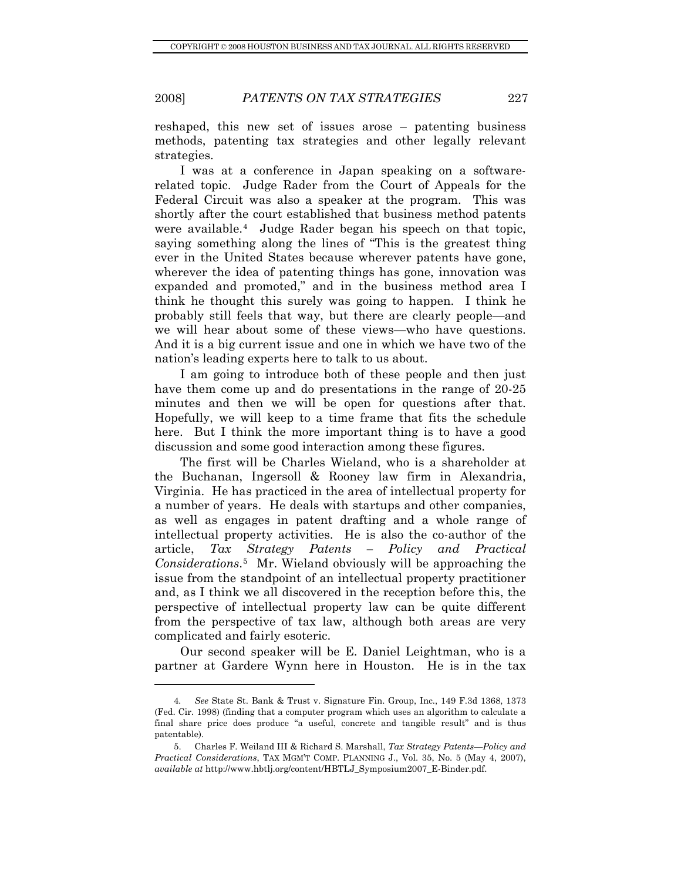l

reshaped, this new set of issues arose – patenting business methods, patenting tax strategies and other legally relevant strategies.

I was at a conference in Japan speaking on a softwarerelated topic. Judge Rader from the Court of Appeals for the Federal Circuit was also a speaker at the program. This was shortly after the court established that business method patents were available.[4](#page-2-0) Judge Rader began his speech on that topic, saying something along the lines of "This is the greatest thing ever in the United States because wherever patents have gone, wherever the idea of patenting things has gone, innovation was expanded and promoted," and in the business method area I think he thought this surely was going to happen. I think he probably still feels that way, but there are clearly people—and we will hear about some of these views—who have questions. And it is a big current issue and one in which we have two of the nation's leading experts here to talk to us about.

I am going to introduce both of these people and then just have them come up and do presentations in the range of 20-25 minutes and then we will be open for questions after that. Hopefully, we will keep to a time frame that fits the schedule here. But I think the more important thing is to have a good discussion and some good interaction among these figures.

The first will be Charles Wieland, who is a shareholder at the Buchanan, Ingersoll & Rooney law firm in Alexandria, Virginia. He has practiced in the area of intellectual property for a number of years. He deals with startups and other companies, as well as engages in patent drafting and a whole range of intellectual property activities. He is also the co-author of the article, *Tax Strategy Patents – Policy and Practical Considerations*.[5](#page-2-1) Mr. Wieland obviously will be approaching the issue from the standpoint of an intellectual property practitioner and, as I think we all discovered in the reception before this, the perspective of intellectual property law can be quite different from the perspective of tax law, although both areas are very complicated and fairly esoteric.

Our second speaker will be E. Daniel Leightman, who is a partner at Gardere Wynn here in Houston. He is in the tax

<span id="page-2-0"></span><sup>4</sup>*. See* State St. Bank & Trust v. Signature Fin. Group, Inc., 149 F.3d 1368, 1373 (Fed. Cir. 1998) (finding that a computer program which uses an algorithm to calculate a final share price does produce "a useful, concrete and tangible result" and is thus patentable).

<span id="page-2-1"></span> <sup>5.</sup> Charles F. Weiland III & Richard S. Marshall, *Tax Strategy Patents—Policy and Practical Considerations*, TAX MGM'T COMP. PLANNING J., Vol. 35, No. 5 (May 4, 2007), *available at* http://www.hbtlj.org/content/HBTLJ\_Symposium2007\_E-Binder.pdf.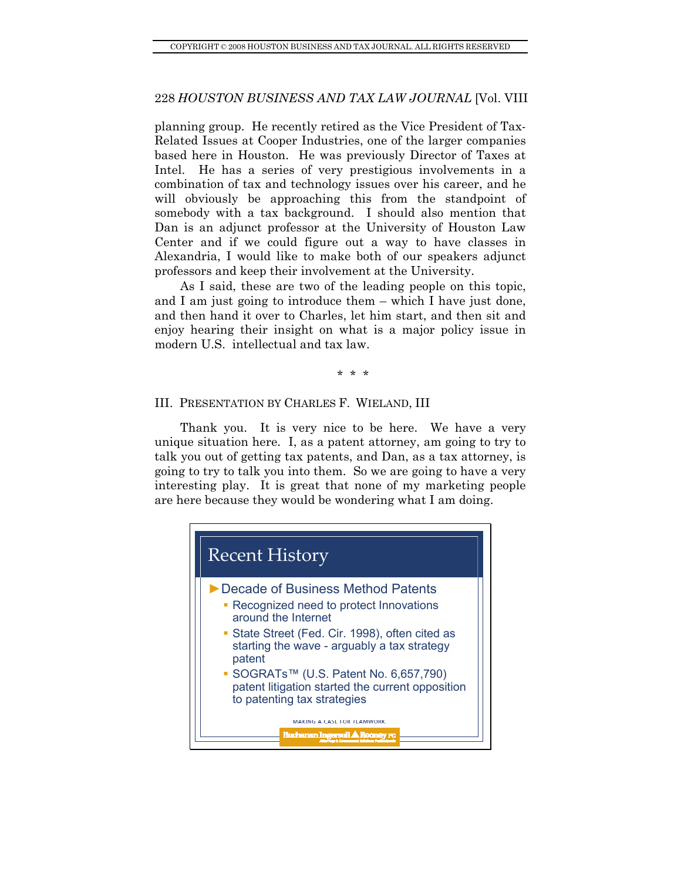<span id="page-3-0"></span>planning group. He recently retired as the Vice President of Tax-Related Issues at Cooper Industries, one of the larger companies based here in Houston. He was previously Director of Taxes at Intel. He has a series of very prestigious involvements in a combination of tax and technology issues over his career, and he will obviously be approaching this from the standpoint of somebody with a tax background. I should also mention that Dan is an adjunct professor at the University of Houston Law Center and if we could figure out a way to have classes in Alexandria, I would like to make both of our speakers adjunct professors and keep their involvement at the University.

As I said, these are two of the leading people on this topic, and I am just going to introduce them – which I have just done, and then hand it over to Charles, let him start, and then sit and enjoy hearing their insight on what is a major policy issue in modern U.S. intellectual and tax law.

# \* \* \*

### III. PRESENTATION BY CHARLES F. WIELAND, III

Thank you. It is very nice to be here. We have a very unique situation here. I, as a patent attorney, am going to try to talk you out of getting tax patents, and Dan, as a tax attorney, is going to try to talk you into them. So we are going to have a very interesting play. It is great that none of my marketing people are here because they would be wondering what I am doing.

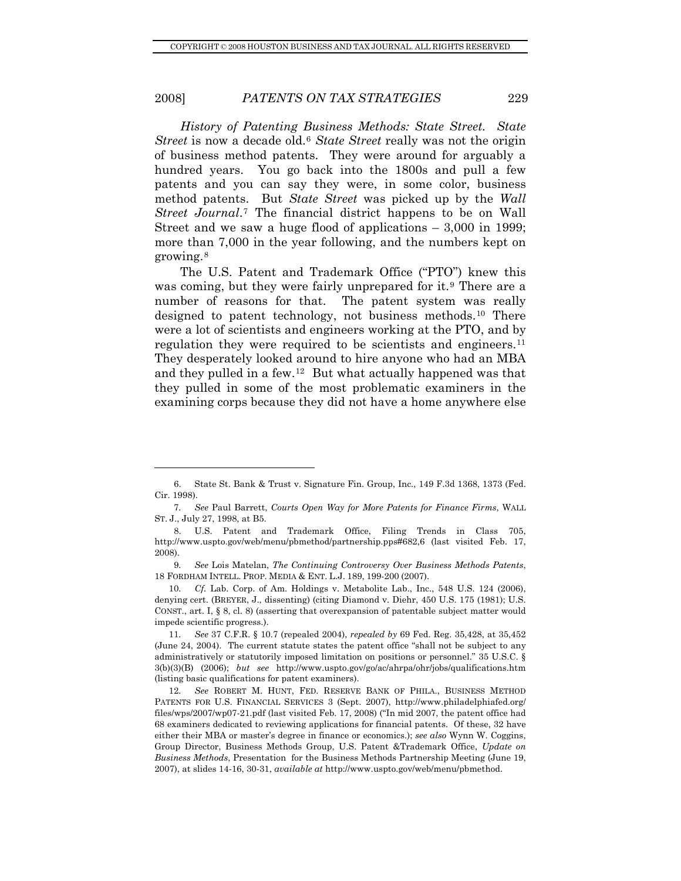*History of Patenting Business Methods: State Street. State Street* is now a decade old.<sup>[6](#page-4-0)</sup> *State Street* really was not the origin of business method patents. They were around for arguably a hundred years. You go back into the 1800s and pull a few patents and you can say they were, in some color, business method patents. But *State Street* was picked up by the *Wall Street Journal*.[7](#page-4-1) The financial district happens to be on Wall Street and we saw a huge flood of applications – 3,000 in 1999; more than 7,000 in the year following, and the numbers kept on growing.[8](#page-4-2)

The U.S. Patent and Trademark Office ("PTO") knew this was coming, but they were fairly unprepared for it.<sup>[9](#page-4-3)</sup> There are a number of reasons for that. The patent system was really designed to patent technology, not business methods.[10](#page-4-4) There were a lot of scientists and engineers working at the PTO, and by regulation they were required to be scientists and engineers.<sup>[11](#page-4-5)</sup> They desperately looked around to hire anyone who had an MBA and they pulled in a few.[12](#page-4-6) But what actually happened was that they pulled in some of the most problematic examiners in the examining corps because they did not have a home anywhere else

<span id="page-4-0"></span> <sup>6.</sup> State St. Bank & Trust v. Signature Fin. Group, Inc., 149 F.3d 1368, 1373 (Fed. Cir. 1998).

<span id="page-4-1"></span><sup>7</sup>*. See* Paul Barrett, *Courts Open Way for More Patents for Finance Firms*, WALL ST. J., July 27, 1998, at B5.

<span id="page-4-2"></span> <sup>8.</sup> U.S. Patent and Trademark Office, Filing Trends in Class 705, http://www.uspto.gov/web/menu/pbmethod/partnership.pps#682,6 (last visited Feb. 17, 2008).

<span id="page-4-3"></span><sup>9</sup>*. See* Lois Matelan, *The Continuing Controversy Over Business Methods Patents*, 18 FORDHAM INTELL. PROP. MEDIA & ENT. L.J. 189, 199-200 (2007).

<span id="page-4-4"></span><sup>10</sup>*. Cf.* Lab. Corp. of Am. Holdings v. Metabolite Lab., Inc., 548 U.S. 124 (2006), denying cert. (BREYER, J., dissenting) (citing Diamond v. Diehr, 450 U.S. 175 (1981); U.S. CONST., art. I, § 8, cl. 8) (asserting that overexpansion of patentable subject matter would impede scientific progress.).

<span id="page-4-5"></span><sup>11</sup>*. See* 37 C.F.R. § 10.7 (repealed 2004), *repealed by* 69 Fed. Reg. 35,428, at 35,452 (June 24, 2004). The current statute states the patent office "shall not be subject to any administratively or statutorily imposed limitation on positions or personnel." 35 U.S.C. § 3(b)(3)(B) (2006); *but see* http://www.uspto.gov/go/ac/ahrpa/ohr/jobs/qualifications.htm (listing basic qualifications for patent examiners).

<span id="page-4-6"></span><sup>12</sup>*. See* ROBERT M. HUNT, FED. RESERVE BANK OF PHILA., BUSINESS METHOD PATENTS FOR U.S. FINANCIAL SERVICES 3 (Sept. 2007), http://www.philadelphiafed.org/ files/wps/2007/wp07-21.pdf (last visited Feb. 17, 2008) ("In mid 2007, the patent office had 68 examiners dedicated to reviewing applications for financial patents. Of these, 32 have either their MBA or master's degree in finance or economics.); *see also* Wynn W. Coggins, Group Director, Business Methods Group, U.S. Patent &Trademark Office, *Update on Business Methods*, Presentation for the Business Methods Partnership Meeting (June 19, 2007), at slides 14-16, 30-31, *available at* http://www.uspto.gov/web/menu/pbmethod.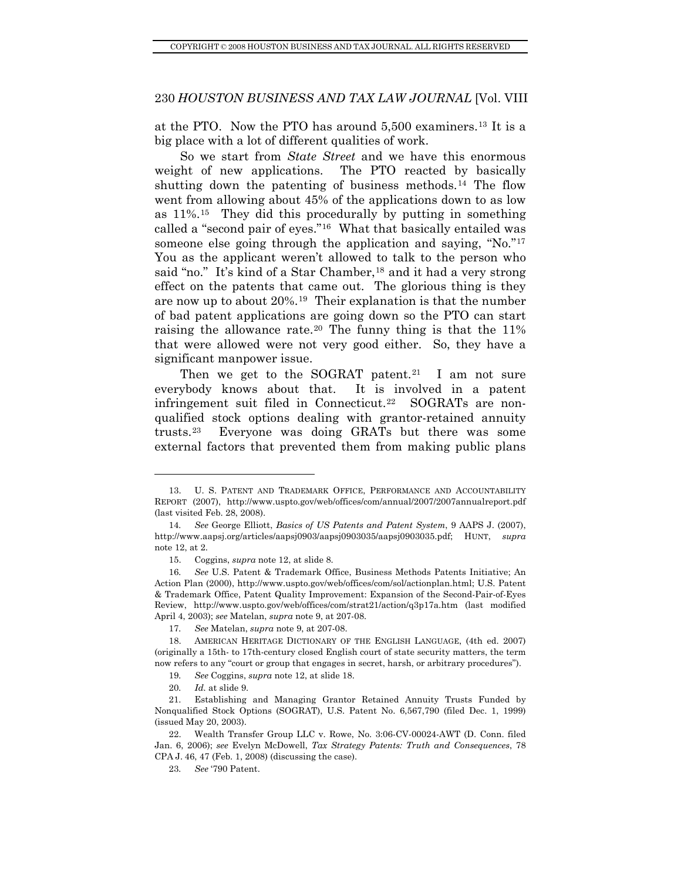at the PTO. Now the PTO has around 5,500 examiners.[13](#page-5-0) It is a big place with a lot of different qualities of work.

So we start from *State Street* and we have this enormous weight of new applications. The PTO reacted by basically shutting down the patenting of business methods.<sup>[14](#page-5-1)</sup> The flow went from allowing about 45% of the applications down to as low as 11%.[15](#page-5-2) They did this procedurally by putting in something called a "second pair of eyes."[16](#page-5-3) What that basically entailed was someone else going through the application and saying, "No."<sup>[17](#page-5-4)</sup> You as the applicant weren't allowed to talk to the person who said "no." It's kind of a Star Chamber,<sup>[18](#page-5-5)</sup> and it had a very strong effect on the patents that came out. The glorious thing is they are now up to about 20%.[19](#page-5-6) Their explanation is that the number of bad patent applications are going down so the PTO can start raising the allowance rate.[20](#page-5-7) The funny thing is that the 11% that were allowed were not very good either. So, they have a significant manpower issue.

Then we get to the SOGRAT patent.<sup>[21](#page-5-8)</sup> I am not sure everybody knows about that. It is involved in a patent infringement suit filed in Connecticut.<sup>[22](#page-5-9)</sup> SOGRATs are nonqualified stock options dealing with grantor-retained annuity trusts.[23](#page-5-10) Everyone was doing GRATs but there was some external factors that prevented them from making public plans

- 19*. See* Coggins, *supra* note 12, at slide 18.
- 20*. Id.* at slide 9.

<span id="page-5-0"></span> <sup>13.</sup> U. S. PATENT AND TRADEMARK OFFICE, PERFORMANCE AND ACCOUNTABILITY REPORT (2007), http://www.uspto.gov/web/offices/com/annual/2007/2007annualreport.pdf (last visited Feb. 28, 2008).

<span id="page-5-1"></span><sup>14</sup>*. See* George Elliott, *Basics of US Patents and Patent System*, 9 AAPS J. (2007), http://www.aapsj.org/articles/aapsj0903/aapsj0903035/aapsj0903035.pdf; HUNT, *supra*  note 12, at 2.

 <sup>15.</sup> Coggins, *supra* note 12, at slide 8.

<span id="page-5-3"></span><span id="page-5-2"></span><sup>16</sup>*. See* U.S. Patent & Trademark Office, Business Methods Patents Initiative; An Action Plan (2000), http://www.uspto.gov/web/offices/com/sol/actionplan.html; U.S. Patent & Trademark Office, Patent Quality Improvement: Expansion of the Second-Pair-of-Eyes Review, http://www.uspto.gov/web/offices/com/strat21/action/q3p17a.htm (last modified April 4, 2003); *see* Matelan, *supra* note 9, at 207-08.

<sup>17</sup>*. See* Matelan, *supra* note 9, at 207-08.

<span id="page-5-5"></span><span id="page-5-4"></span> <sup>18.</sup> AMERICAN HERITAGE DICTIONARY OF THE ENGLISH LANGUAGE, (4th ed. 2007) (originally a 15th- to 17th-century closed English court of state security matters, the term now refers to any "court or group that engages in secret, harsh, or arbitrary procedures").

<span id="page-5-8"></span><span id="page-5-7"></span><span id="page-5-6"></span> <sup>21.</sup> Establishing and Managing Grantor Retained Annuity Trusts Funded by Nonqualified Stock Options (SOGRAT), U.S. Patent No. 6,567,790 (filed Dec. 1, 1999) (issued May 20, 2003).

<span id="page-5-10"></span><span id="page-5-9"></span> <sup>22.</sup> Wealth Transfer Group LLC v. Rowe, No. 3:06-CV-00024-AWT (D. Conn. filed Jan. 6, 2006); *see* Evelyn McDowell, *Tax Strategy Patents: Truth and Consequences*, 78 CPA J. 46, 47 (Feb. 1, 2008) (discussing the case).

<sup>23</sup>*. See* '790 Patent.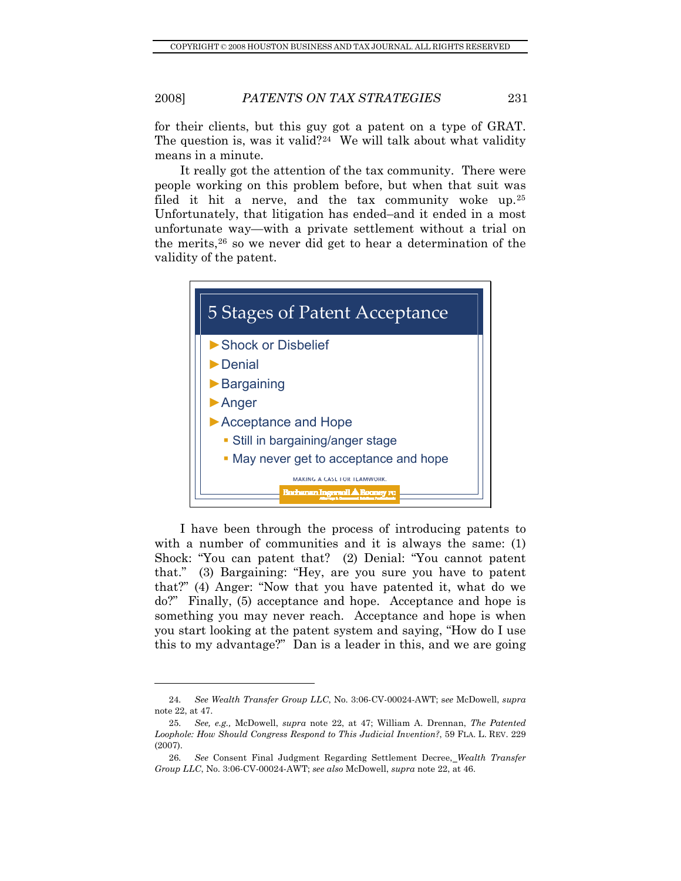for their clients, but this guy got a patent on a type of GRAT. The question is, was it valid?<sup>[24](#page-6-0)</sup> We will talk about what validity means in a minute.

It really got the attention of the tax community. There were people working on this problem before, but when that suit was filed it hit a nerve, and the tax community woke up.[25](#page-6-1) Unfortunately, that litigation has ended–and it ended in a most unfortunate way—with a private settlement without a trial on the merits,[26](#page-6-2) so we never did get to hear a determination of the validity of the patent.



I have been through the process of introducing patents to with a number of communities and it is always the same: (1) Shock: "You can patent that? (2) Denial: "You cannot patent that." (3) Bargaining: "Hey, are you sure you have to patent that?" (4) Anger: "Now that you have patented it, what do we do?" Finally, (5) acceptance and hope. Acceptance and hope is something you may never reach. Acceptance and hope is when you start looking at the patent system and saying, "How do I use this to my advantage?" Dan is a leader in this, and we are going

<span id="page-6-0"></span><sup>24</sup>*. See Wealth Transfer Group LLC*, No. 3:06-CV-00024-AWT; s*ee* McDowell, *supra* note 22, at 47.

<span id="page-6-1"></span><sup>25</sup>*. See, e.g.,* McDowell, *supra* note 22, at 47; William A. Drennan, *The Patented Loophole: How Should Congress Respond to This Judicial Invention?*, 59 FLA. L. REV. 229 (2007).

<span id="page-6-2"></span><sup>26</sup>*. See* Consent Final Judgment Regarding Settlement Decree, *Wealth Transfer Group LLC*, No. 3:06-CV-00024-AWT; *see also* McDowell, *supra* note 22, at 46.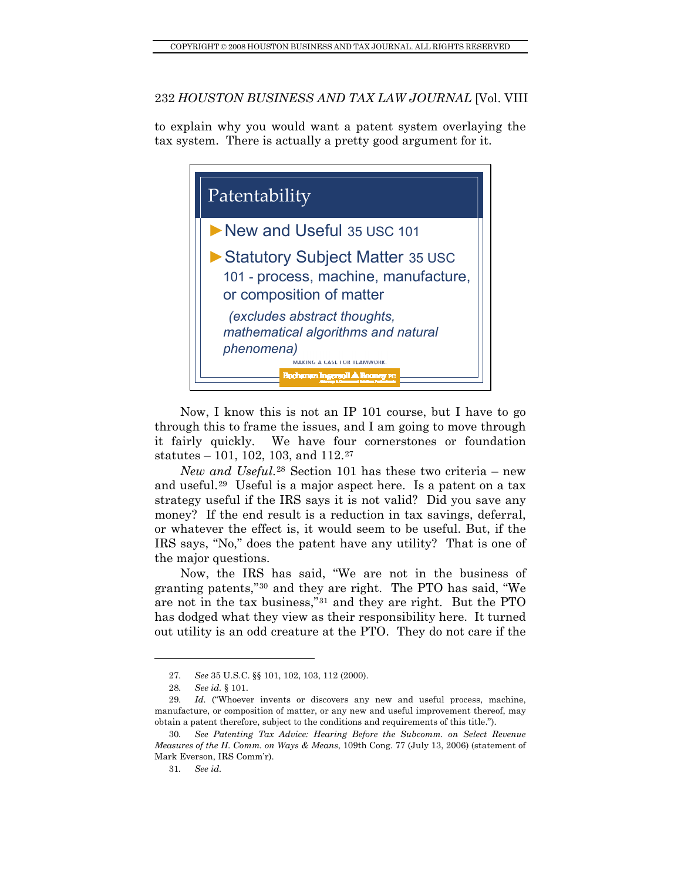to explain why you would want a patent system overlaying the tax system. There is actually a pretty good argument for it.



Now, I know this is not an IP 101 course, but I have to go through this to frame the issues, and I am going to move through it fairly quickly. We have four cornerstones or foundation statutes – 101, 102, 103, and  $112.^{27}$  $112.^{27}$  $112.^{27}$ 

*New and Useful*.[28](#page-7-1) Section 101 has these two criteria – new and useful.[29](#page-7-2) Useful is a major aspect here. Is a patent on a tax strategy useful if the IRS says it is not valid? Did you save any money? If the end result is a reduction in tax savings, deferral, or whatever the effect is, it would seem to be useful. But, if the IRS says, "No," does the patent have any utility? That is one of the major questions.

Now, the IRS has said, "We are not in the business of granting patents,"[30](#page-7-3) and they are right. The PTO has said, "We are not in the tax business,"[31](#page-7-4) and they are right. But the PTO has dodged what they view as their responsibility here. It turned out utility is an odd creature at the PTO. They do not care if the

<sup>27</sup>*. See* 35 U.S.C. §§ 101, 102, 103, 112 (2000).

<sup>28</sup>*. See id.* § 101.

<span id="page-7-2"></span><span id="page-7-1"></span><span id="page-7-0"></span><sup>29</sup>*. Id.* ("Whoever invents or discovers any new and useful process, machine, manufacture, or composition of matter, or any new and useful improvement thereof, may obtain a patent therefore, subject to the conditions and requirements of this title.").

<span id="page-7-4"></span><span id="page-7-3"></span><sup>30</sup>*. See Patenting Tax Advice: Hearing Before the Subcomm. on Select Revenue Measures of the H. Comm. on Ways & Means*, 109th Cong. 77 (July 13, 2006) (statement of Mark Everson, IRS Comm'r).

<sup>31</sup>*. See id.*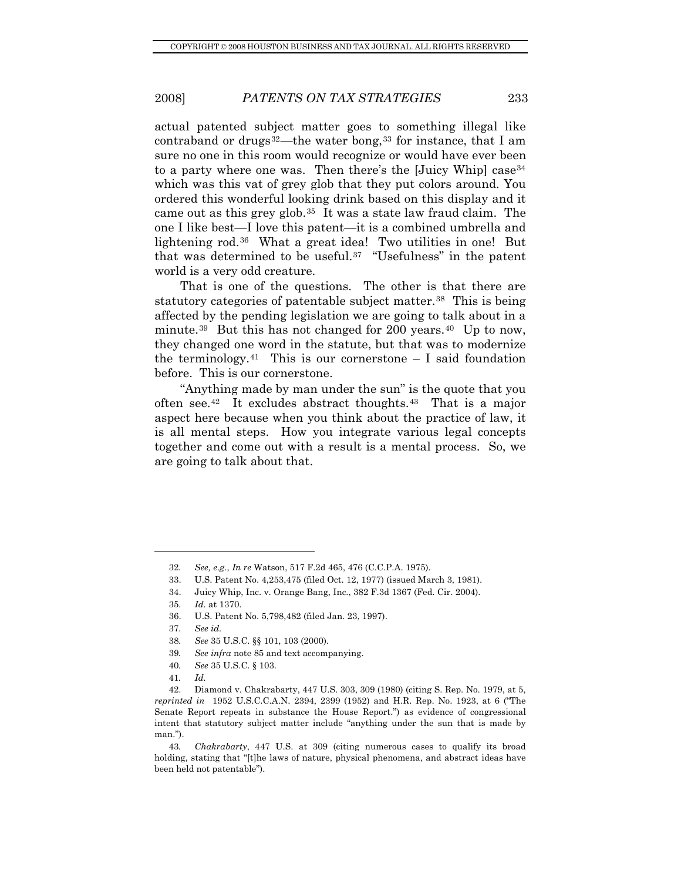actual patented subject matter goes to something illegal like contraband or drugs $32$ —the water bong,  $33$  for instance, that I am sure no one in this room would recognize or would have ever been to a party where one was. Then there's the [Juicy Whip] case<sup>[34](#page-8-2)</sup> which was this vat of grey glob that they put colors around. You ordered this wonderful looking drink based on this display and it came out as this grey glob.[35](#page-8-3) It was a state law fraud claim. The one I like best—I love this patent—it is a combined umbrella and lightening rod.<sup>[36](#page-8-4)</sup> What a great idea! Two utilities in one! But that was determined to be useful.[37](#page-8-5) "Usefulness" in the patent world is a very odd creature.

That is one of the questions. The other is that there are statutory categories of patentable subject matter.<sup>[38](#page-8-6)</sup> This is being affected by the pending legislation we are going to talk about in a minute.<sup>[39](#page-8-7)</sup> But this has not changed for 200 years.<sup>[40](#page-8-8)</sup> Up to now, they changed one word in the statute, but that was to modernize the terminology.<sup>[41](#page-8-9)</sup> This is our cornerstone  $-$  I said foundation before. This is our cornerstone.

"Anything made by man under the sun" is the quote that you often see.<sup>[42](#page-8-10)</sup> It excludes abstract thoughts.<sup>[43](#page-8-11)</sup> That is a major aspect here because when you think about the practice of law, it is all mental steps. How you integrate various legal concepts together and come out with a result is a mental process. So, we are going to talk about that.

<span id="page-8-2"></span>34. Juicy Whip, Inc. v. Orange Bang, Inc., 382 F.3d 1367 (Fed. Cir. 2004).

<span id="page-8-0"></span><sup>32</sup>*. See, e.g.*, *In re* Watson, 517 F.2d 465, 476 (C.C.P.A. 1975).

<span id="page-8-1"></span> <sup>33.</sup> U.S. Patent No. 4,253,475 (filed Oct. 12, 1977) (issued March 3, 1981).

<span id="page-8-3"></span><sup>35</sup>*. Id.* at 1370.

<span id="page-8-4"></span> <sup>36.</sup> U.S. Patent No. 5,798,482 (filed Jan. 23, 1997).

<sup>37</sup>*. See id.*

<sup>38</sup>*. See* 35 U.S.C. §§ 101, 103 (2000).

<sup>39</sup>*. See infra* note 85 and text accompanying.

<sup>40</sup>*. See* 35 U.S.C. § 103.

<sup>41</sup>*. Id.*

<span id="page-8-10"></span><span id="page-8-9"></span><span id="page-8-8"></span><span id="page-8-7"></span><span id="page-8-6"></span><span id="page-8-5"></span> <sup>42.</sup> Diamond v. Chakrabarty, 447 U.S. 303, 309 (1980) (citing S. Rep. No. 1979, at 5, *reprinted in* 1952 U.S.C.C.A.N. 2394, 2399 (1952) and H.R. Rep. No. 1923, at 6 ("The Senate Report repeats in substance the House Report.") as evidence of congressional intent that statutory subject matter include "anything under the sun that is made by man.").

<span id="page-8-11"></span><sup>43</sup>*. Chakrabarty*, 447 U.S. at 309 (citing numerous cases to qualify its broad holding, stating that "[t]he laws of nature, physical phenomena, and abstract ideas have been held not patentable").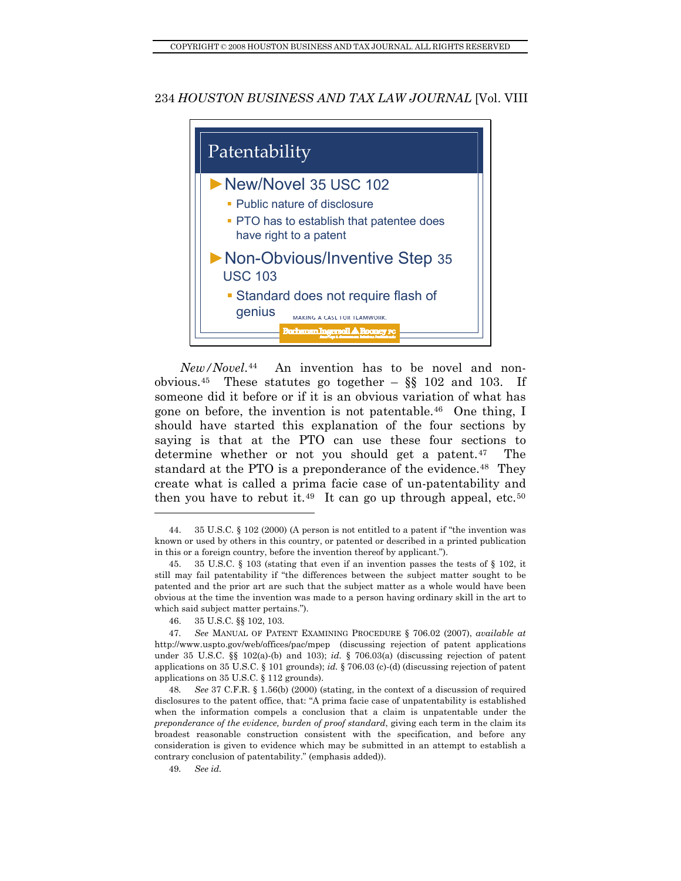

<span id="page-9-6"></span>*New/Novel*.[44](#page-9-0) An invention has to be novel and non-obvious.<sup>[45](#page-9-1)</sup> These statutes go together –  $\S$ § 102 and 103. If someone did it before or if it is an obvious variation of what has gone on before, the invention is not patentable.[46](#page-9-2) One thing, I should have started this explanation of the four sections by saying is that at the PTO can use these four sections to determine whether or not you should get a patent.<sup>[47](#page-9-3)</sup> The standard at the PTO is a preponderance of the evidence.<sup>[48](#page-9-4)</sup> They create what is called a prima facie case of un-patentability and then you have to rebut it.<sup>[49](#page-9-5)</sup> It can go up through appeal, etc.<sup>[50](#page-9-6)</sup>

<span id="page-9-0"></span> <sup>44. 35</sup> U.S.C. § 102 (2000) (A person is not entitled to a patent if "the invention was known or used by others in this country, or patented or described in a printed publication in this or a foreign country, before the invention thereof by applicant.").

<span id="page-9-1"></span> <sup>45. 35</sup> U.S.C. § 103 (stating that even if an invention passes the tests of § 102, it still may fail patentability if "the differences between the subject matter sought to be patented and the prior art are such that the subject matter as a whole would have been obvious at the time the invention was made to a person having ordinary skill in the art to which said subject matter pertains.").

 <sup>46. 35</sup> U.S.C. §§ 102, 103.

<span id="page-9-3"></span><span id="page-9-2"></span><sup>47</sup>*. See* MANUAL OF PATENT EXAMINING PROCEDURE § 706.02 (2007), *available at* http://www.uspto.gov/web/offices/pac/mpep (discussing rejection of patent applications under 35 U.S.C. §§ 102(a)-(b) and 103); *id.* § 706.03(a) (discussing rejection of patent applications on 35 U.S.C. § 101 grounds); *id.* § 706.03 (c)-(d) (discussing rejection of patent applications on 35 U.S.C. § 112 grounds).

<span id="page-9-4"></span><sup>48</sup>*. See* 37 C.F.R. § 1.56(b) (2000) (stating, in the context of a discussion of required disclosures to the patent office, that: "A prima facie case of unpatentability is established when the information compels a conclusion that a claim is unpatentable under the *preponderance of the evidence, burden of proof standard*, giving each term in the claim its broadest reasonable construction consistent with the specification, and before any consideration is given to evidence which may be submitted in an attempt to establish a contrary conclusion of patentability." (emphasis added)).

<span id="page-9-5"></span><sup>49</sup>*. See id.*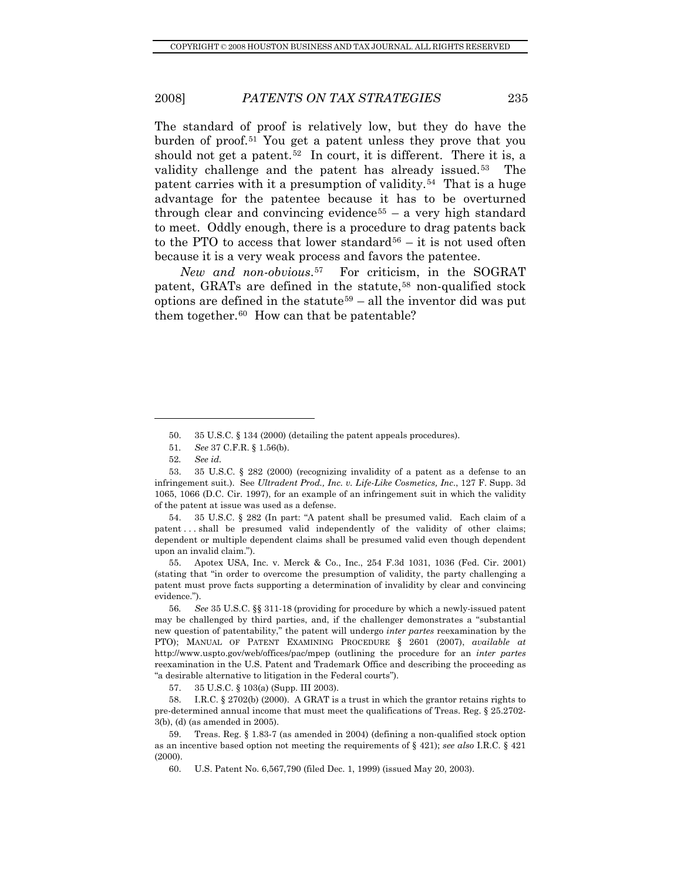The standard of proof is relatively low, but they do have the burden of proof.<sup>[51](#page-10-0)</sup> You get a patent unless they prove that you should not get a patent.<sup>[52](#page-10-1)</sup> In court, it is different. There it is, a validity challenge and the patent has already issued.<sup>[53](#page-10-2)</sup> The patent carries with it a presumption of validity.[54](#page-10-3) That is a huge advantage for the patentee because it has to be overturned through clear and convincing evidence<sup>[55](#page-10-4)</sup> – a very high standard to meet. Oddly enough, there is a procedure to drag patents back to the PTO to access that lower standard<sup>[56](#page-10-5)</sup> – it is not used often because it is a very weak process and favors the patentee.

*New and non-obvious*.[57](#page-10-6) For criticism, in the SOGRAT patent, GRATs are defined in the statute,<sup>[58](#page-10-7)</sup> non-qualified stock options are defined in the statute<sup>[59](#page-10-8)</sup> – all the inventor did was put them together. $60$  How can that be patentable?

l

<span id="page-10-3"></span> 54. 35 U.S.C. § 282 (In part: "A patent shall be presumed valid. Each claim of a patent . . . shall be presumed valid independently of the validity of other claims; dependent or multiple dependent claims shall be presumed valid even though dependent upon an invalid claim.").

<span id="page-10-4"></span> 55. Apotex USA, Inc. v. Merck & Co., Inc., 254 F.3d 1031, 1036 (Fed. Cir. 2001) (stating that "in order to overcome the presumption of validity, the party challenging a patent must prove facts supporting a determination of invalidity by clear and convincing evidence.").

<span id="page-10-5"></span>56*. See* 35 U.S.C. §§ 311-18 (providing for procedure by which a newly-issued patent may be challenged by third parties, and, if the challenger demonstrates a "substantial new question of patentability," the patent will undergo *inter partes* reexamination by the PTO); MANUAL OF PATENT EXAMINING PROCEDURE § 2601 (2007), *available at* http://www.uspto.gov/web/offices/pac/mpep (outlining the procedure for an *inter partes*  reexamination in the U.S. Patent and Trademark Office and describing the proceeding as "a desirable alternative to litigation in the Federal courts").

57. 35 U.S.C. § 103(a) (Supp. III 2003).

<span id="page-10-7"></span><span id="page-10-6"></span> 58. I.R.C. § 2702(b) (2000). A GRAT is a trust in which the grantor retains rights to pre-determined annual income that must meet the qualifications of Treas. Reg. § 25.2702- 3(b), (d) (as amended in 2005).

<span id="page-10-9"></span><span id="page-10-8"></span> 59. Treas. Reg. § 1.83-7 (as amended in 2004) (defining a non-qualified stock option as an incentive based option not meeting the requirements of § 421); *see also* I.R.C. § 421 (2000).

60. U.S. Patent No. 6,567,790 (filed Dec. 1, 1999) (issued May 20, 2003).

 <sup>50. 35</sup> U.S.C. § 134 (2000) (detailing the patent appeals procedures).

<sup>51</sup>*. See* 37 C.F.R. § 1.56(b).

<sup>52</sup>*. See id.*

<span id="page-10-2"></span><span id="page-10-1"></span><span id="page-10-0"></span> <sup>53. 35</sup> U.S.C. § 282 (2000) (recognizing invalidity of a patent as a defense to an infringement suit.). See *Ultradent Prod., Inc. v. Life-Like Cosmetics, Inc.*, 127 F. Supp. 3d 1065, 1066 (D.C. Cir. 1997), for an example of an infringement suit in which the validity of the patent at issue was used as a defense.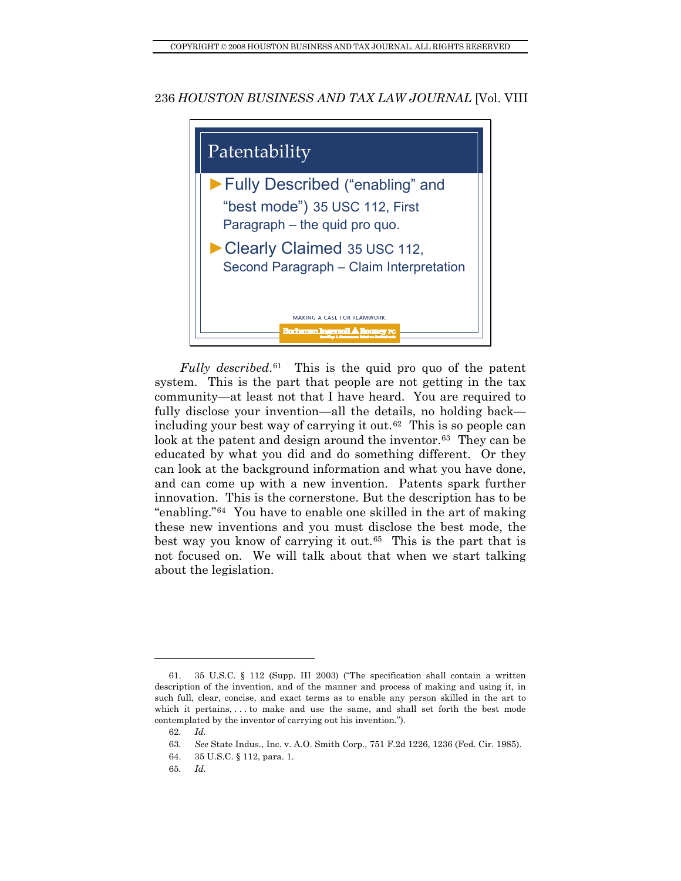

*Fully described*.<sup>[61](#page-11-0)</sup> This is the quid pro quo of the patent system. This is the part that people are not getting in the tax community—at least not that I have heard. You are required to fully disclose your invention—all the details, no holding back including your best way of carrying it out.[62](#page-11-1) This is so people can look at the patent and design around the inventor.<sup>[63](#page-11-2)</sup> They can be educated by what you did and do something different. Or they can look at the background information and what you have done, and can come up with a new invention. Patents spark further innovation. This is the cornerstone. But the description has to be "enabling."[64](#page-11-3) You have to enable one skilled in the art of making these new inventions and you must disclose the best mode, the best way you know of carrying it out.<sup>[65](#page-11-4)</sup> This is the part that is not focused on. We will talk about that when we start talking about the legislation.

<span id="page-11-1"></span><span id="page-11-0"></span> <sup>61. 35</sup> U.S.C. § 112 (Supp. III 2003) ("The specification shall contain a written description of the invention, and of the manner and process of making and using it, in such full, clear, concise, and exact terms as to enable any person skilled in the art to which it pertains, . . . to make and use the same, and shall set forth the best mode contemplated by the inventor of carrying out his invention.").

<sup>62</sup>*. Id.*

<span id="page-11-3"></span><span id="page-11-2"></span><sup>63</sup>*. See* State Indus., Inc. v. A.O. Smith Corp., 751 F.2d 1226, 1236 (Fed. Cir. 1985).

 <sup>64. 35</sup> U.S.C. § 112, para. 1.

<span id="page-11-4"></span><sup>65</sup>*. Id.*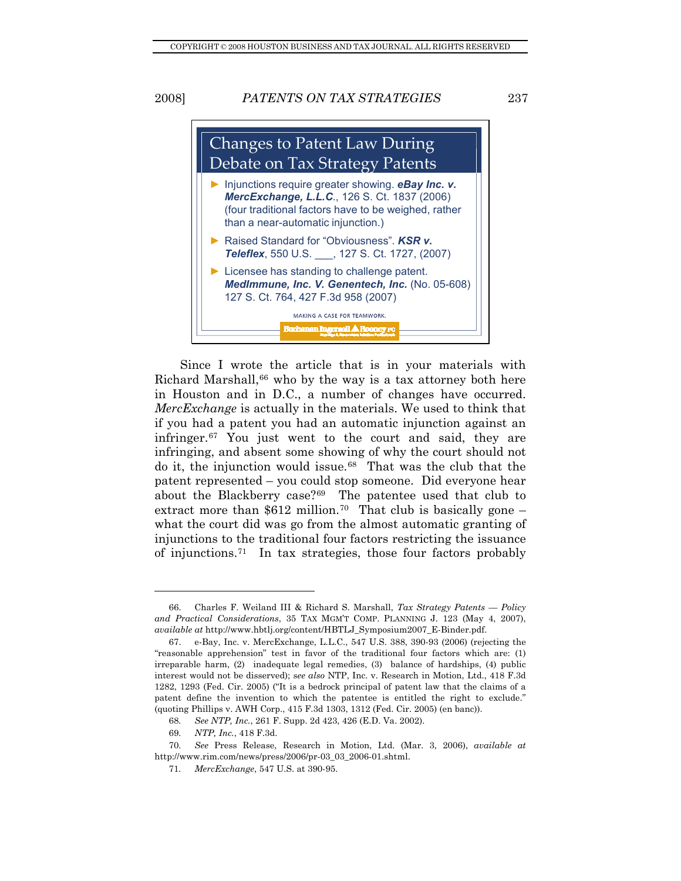Changes to Patent Law During Debate on Tax Strategy Patents ► Injunctions require greater showing. *eBay Inc. v. MercExchange, L.L.C*., 126 S. Ct. 1837 (2006) (four traditional factors have to be weighed, rather than a near-automatic injunction.) ► Raised Standard for "Obviousness". *KSR v. Teleflex*, 550 U.S. \_\_\_, 127 S. Ct. 1727, (2007) ► Licensee has standing to challenge patent. *MedImmune, Inc. V. Genentech, Inc.* (No. 05-608) 127 S. Ct. 764, 427 F.3d 958 (2007) MAKING A CASE FOR TEAMWORK.

Since I wrote the article that is in your materials with Richard Marshall, $66$  who by the way is a tax attorney both here in Houston and in D.C., a number of changes have occurred. *MercExchange* is actually in the materials. We used to think that if you had a patent you had an automatic injunction against an infringer.[67](#page-12-1) You just went to the court and said, they are infringing, and absent some showing of why the court should not do it, the injunction would issue.[68](#page-12-2) That was the club that the patent represented – you could stop someone. Did everyone hear about the Blackberry case?[69](#page-12-3) The patentee used that club to extract more than \$612 million.<sup>[70](#page-12-4)</sup> That club is basically gone – what the court did was go from the almost automatic granting of injunctions to the traditional four factors restricting the issuance of injunctions.[71](#page-12-5) In tax strategies, those four factors probably

<span id="page-12-0"></span> <sup>66.</sup> Charles F. Weiland III & Richard S. Marshall, *Tax Strategy Patents — Policy and Practical Considerations*, 35 TAX MGM'T COMP. PLANNING J. 123 (May 4, 2007), *available at* http://www.hbtlj.org/content/HBTLJ\_Symposium2007\_E-Binder.pdf.

<span id="page-12-1"></span> <sup>67.</sup> e-Bay, Inc. v. MercExchange, L.L.C., 547 U.S. 388, 390-93 (2006) (rejecting the "reasonable apprehension" test in favor of the traditional four factors which are: (1) irreparable harm, (2) inadequate legal remedies, (3) balance of hardships, (4) public interest would not be disserved); s*ee also* NTP, Inc. v. Research in Motion, Ltd., 418 F.3d 1282, 1293 (Fed. Cir. 2005) ("It is a bedrock principal of patent law that the claims of a patent define the invention to which the patentee is entitled the right to exclude." (quoting Phillips v. AWH Corp., 415 F.3d 1303, 1312 (Fed. Cir. 2005) (en banc)).

<sup>68</sup>*. See NTP, Inc.*, 261 F. Supp. 2d 423, 426 (E.D. Va. 2002).

<sup>69</sup>*. NTP, Inc.*, 418 F.3d.

<span id="page-12-5"></span><span id="page-12-4"></span><span id="page-12-3"></span><span id="page-12-2"></span><sup>70</sup>*. See* Press Release, Research in Motion, Ltd. (Mar. 3, 2006), *available at* http://www.rim.com/news/press/2006/pr-03\_03\_2006-01.shtml.

<sup>71</sup>*. MercExchange*, 547 U.S. at 390-95.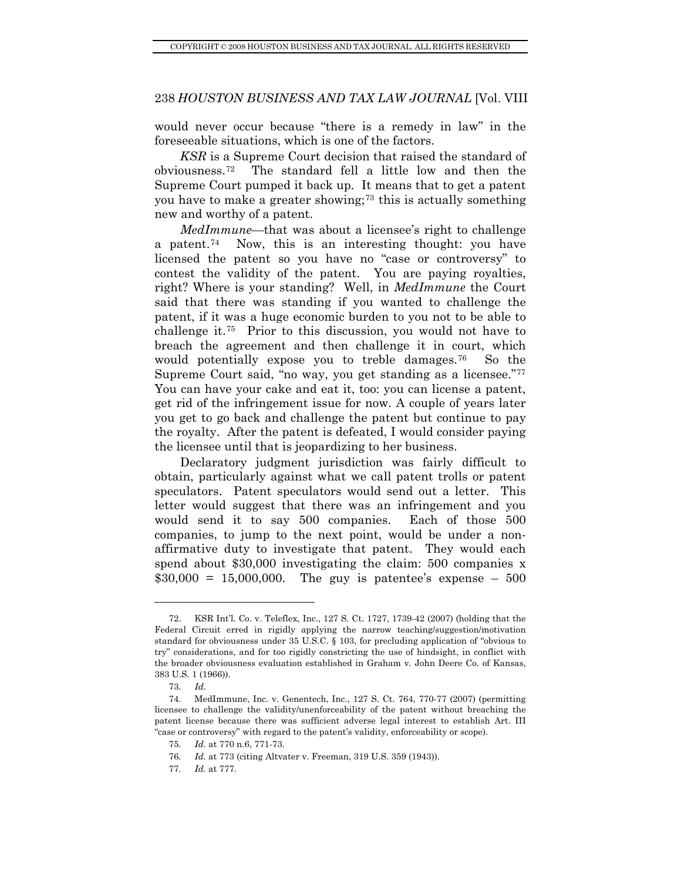would never occur because "there is a remedy in law" in the foreseeable situations, which is one of the factors.

*KSR* is a Supreme Court decision that raised the standard of obviousness.[72](#page-13-0) The standard fell a little low and then the Supreme Court pumped it back up. It means that to get a patent you have to make a greater showing;<sup>[73](#page-13-1)</sup> this is actually something new and worthy of a patent.

the licensee until that is jeopardizing to her business. *MedImmune*—that was about a licensee's right to challenge a patent.<sup>[74](#page-13-2)</sup> Now, this is an interesting thought: you have licensed the patent so you have no "case or controversy" to contest the validity of the patent. You are paying royalties, right? Where is your standing? Well, in *MedImmune* the Court said that there was standing if you wanted to challenge the patent, if it was a huge economic burden to you not to be able to challenge it.[75](#page-13-3) Prior to this discussion, you would not have to breach the agreement and then challenge it in court, which would potentially expose you to treble damages.<sup>[76](#page-13-4)</sup> So the Supreme Court said, "no way, you get standing as a licensee."[77](#page-13-5) You can have your cake and eat it, too: you can license a patent, get rid of the infringement issue for now. A couple of years later you get to go back and challenge the patent but continue to pay the royalty. After the patent is defeated, I would consider paying

Declaratory judgment jurisdiction was fairly difficult to obtain, particularly against what we call patent trolls or patent speculators. Patent speculators would send out a letter. This letter would suggest that there was an infringement and you would send it to say 500 companies. Each of those 500 companies, to jump to the next point, would be under a nonaffirmative duty to investigate that patent. They would each spend about \$30,000 investigating the claim: 500 companies x  $$30,000 = 15,000,000$ . The guy is patentee's expense – 500

<span id="page-13-0"></span> <sup>72.</sup> KSR Int'l. Co. v. Teleflex, Inc., 127 S. Ct. 1727, 1739-42 (2007) (holding that the Federal Circuit erred in rigidly applying the narrow teaching/suggestion/motivation standard for obviousness under 35 U.S.C. § 103, for precluding application of "obvious to try" considerations, and for too rigidly constricting the use of hindsight, in conflict with the broader obviousness evaluation established in Graham v. John Deere Co. of Kansas, 383 U.S. 1 (1966)).

<sup>73</sup>*. Id.*

<span id="page-13-4"></span><span id="page-13-3"></span><span id="page-13-2"></span><span id="page-13-1"></span> <sup>74.</sup> MedImmune, Inc. v. Genentech, Inc., 127 S. Ct. 764, 770-77 (2007) (permitting licensee to challenge the validity/unenforceability of the patent without breaching the patent license because there was sufficient adverse legal interest to establish Art. III "case or controversy" with regard to the patent's validity, enforceability or scope).

<sup>75</sup>*. Id.* at 770 n.6, 771-73.

<sup>76</sup>*. Id.* at 773 (citing Altvater v. Freeman, 319 U.S. 359 (1943)).

<span id="page-13-5"></span><sup>77</sup>*. Id.* at 777.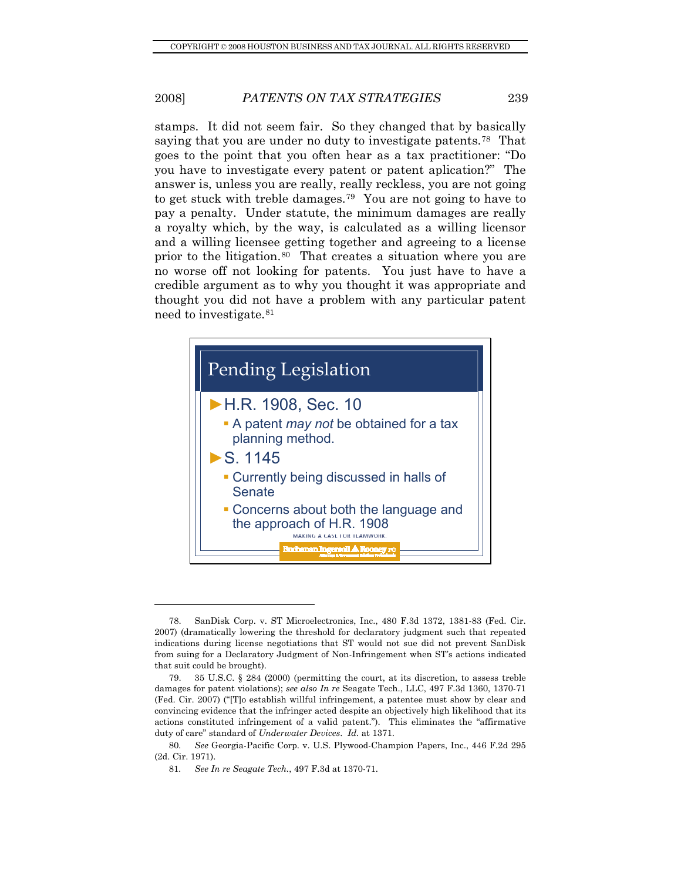stamps. It did not seem fair. So they changed that by basically saying that you are under no duty to investigate patents.<sup>[78](#page-14-0)</sup> That goes to the point that you often hear as a tax practitioner: "Do you have to investigate every patent or patent aplication?" The answer is, unless you are really, really reckless, you are not going to get stuck with treble damages.[79](#page-14-1) You are not going to have to pay a penalty. Under statute, the minimum damages are really a royalty which, by the way, is calculated as a willing licensor and a willing licensee getting together and agreeing to a license prior to the litigation.[80](#page-14-2) That creates a situation where you are no worse off not looking for patents. You just have to have a credible argument as to why you thought it was appropriate and thought you did not have a problem with any particular patent need to investigate.[81](#page-14-3)



<span id="page-14-0"></span> <sup>78.</sup> SanDisk Corp. v. ST Microelectronics, Inc., 480 F.3d 1372, 1381-83 (Fed. Cir. 2007) (dramatically lowering the threshold for declaratory judgment such that repeated indications during license negotiations that ST would not sue did not prevent SanDisk from suing for a Declaratory Judgment of Non-Infringement when ST's actions indicated that suit could be brought).

<span id="page-14-1"></span> <sup>79. 35</sup> U.S.C. § 284 (2000) (permitting the court, at its discretion, to assess treble damages for patent violations); *see also In re* Seagate Tech., LLC, 497 F.3d 1360, 1370-71 (Fed. Cir. 2007) ("[T]o establish willful infringement, a patentee must show by clear and convincing evidence that the infringer acted despite an objectively high likelihood that its actions constituted infringement of a valid patent."). This eliminates the "affirmative duty of care" standard of *Underwater Devices*. *Id.* at 1371.

<span id="page-14-3"></span><span id="page-14-2"></span><sup>80</sup>*. See* Georgia-Pacific Corp. v. U.S. Plywood-Champion Papers, Inc., 446 F.2d 295 (2d. Cir. 1971).

<sup>81</sup>*. See In re Seagate Tech.*, 497 F.3d at 1370-71.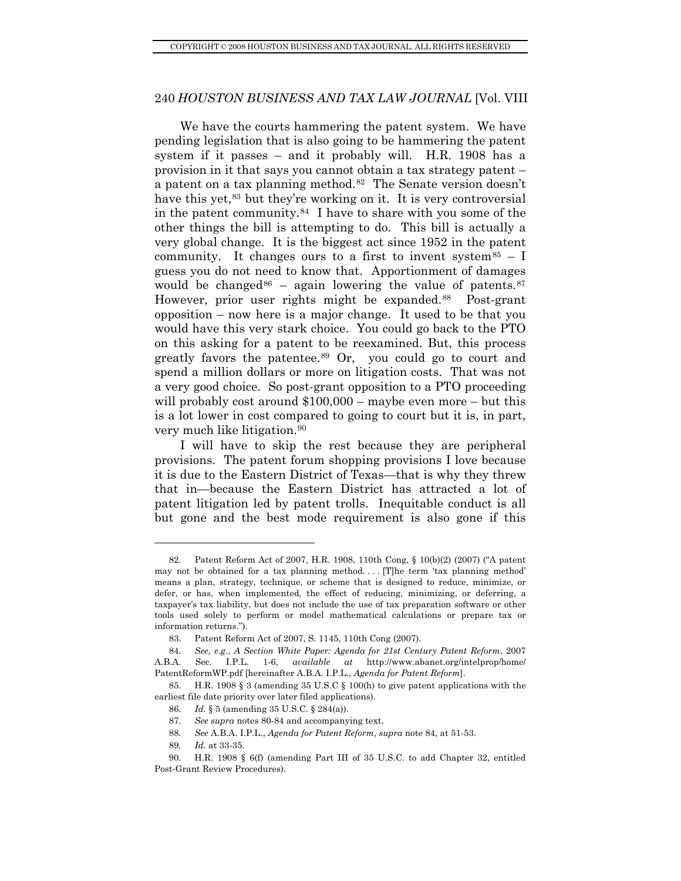very much like litigation.<sup>90</sup> We have the courts hammering the patent system. We have pending legislation that is also going to be hammering the patent system if it passes – and it probably will. H.R. 1908 has a provision in it that says you cannot obtain a tax strategy patent – a patent on a tax planning method.[82](#page-15-0) The Senate version doesn't have this yet,<sup>[83](#page-15-1)</sup> but they're working on it. It is very controversial in the patent community.[84](#page-15-2) I have to share with you some of the other things the bill is attempting to do. This bill is actually a very global change. It is the biggest act since 1952 in the patent community. It changes ours to a first to invent system  $85 - I$  $85 - I$ guess you do not need to know that. Apportionment of damages would be changed<sup>[86](#page-15-4)</sup> – again lowering the value of patents.<sup>[87](#page-15-5)</sup> However, prior user rights might be expanded.<sup>[88](#page-15-6)</sup> Post-grant opposition – now here is a major change. It used to be that you would have this very stark choice. You could go back to the PTO on this asking for a patent to be reexamined. But, this process greatly favors the patentee.<sup>[89](#page-15-7)</sup> Or, you could go to court and spend a million dollars or more on litigation costs. That was not a very good choice. So post-grant opposition to a PTO proceeding will probably cost around  $$100,000 -$  maybe even more – but this is a lot lower in cost compared to going to court but it is, in part,

I will have to skip the rest because they are peripheral provisions. The patent forum shopping provisions I love because it is due to the Eastern District of Texas—that is why they threw that in—because the Eastern District has attracted a lot of patent litigation led by patent trolls. Inequitable conduct is all but gone and the best mode requirement is also gone if this

<span id="page-15-0"></span> <sup>82.</sup> Patent Reform Act of 2007, H.R. 1908, 110th Cong, § 10(b)(2) (2007) ("A patent may not be obtained for a tax planning method. . . . [T]he term 'tax planning method' means a plan, strategy, technique, or scheme that is designed to reduce, minimize, or defer, or has, when implemented, the effect of reducing, minimizing, or deferring, a taxpayer's tax liability, but does not include the use of tax preparation software or other tools used solely to perform or model mathematical calculations or prepare tax or information returns.").

 <sup>83.</sup> Patent Reform Act of 2007, S. 1145, 110th Cong (2007).

<span id="page-15-2"></span><span id="page-15-1"></span><sup>84</sup>*. See, e.g.*, *A Section White Paper: Agenda for 21st Century Patent Reform*, 2007 A.B.A. Sec. I.P.L. 1-6, *available at* http://www.abanet.org/intelprop/home/ PatentReformWP.pdf [hereinafter A.B.A. I.P.L., *Agenda for Patent Reform*].

<span id="page-15-5"></span><span id="page-15-4"></span><span id="page-15-3"></span> <sup>85.</sup> H.R. 1908 § 3 (amending 35 U.S.C § 100(h) to give patent applications with the earliest file date priority over later filed applications).

<sup>86</sup>*. Id.* § 5 (amending 35 U.S.C. § 284(a)).

<sup>87</sup>*. See supra* notes 80-84 and accompanying text.

<sup>88</sup>*. See* A.B.A. I.P.L., *Agenda for Patent Reform*, *supra* note 84, at 51-53.

<sup>89</sup>*. Id.* at 33-35.

<span id="page-15-7"></span><span id="page-15-6"></span> <sup>90.</sup> H.R. 1908 § 6(f) (amending Part III of 35 U.S.C. to add Chapter 32, entitled Post-Grant Review Procedures).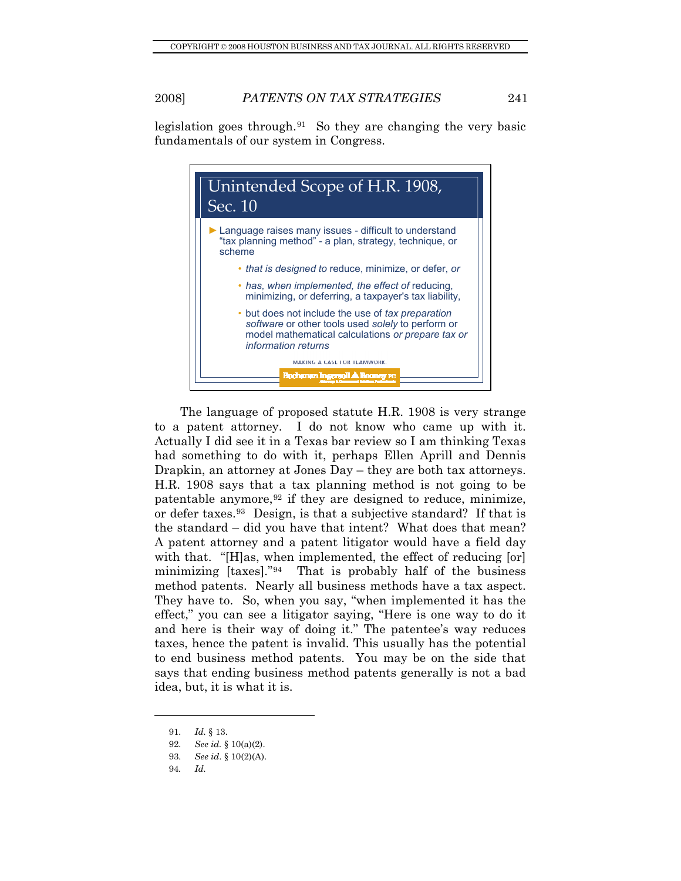legislation goes through.<sup>[91](#page-16-0)</sup> So they are changing the very basic fundamentals of our system in Congress.



The language of proposed statute H.R. 1908 is very strange to a patent attorney. I do not know who came up with it. Actually I did see it in a Texas bar review so I am thinking Texas had something to do with it, perhaps Ellen Aprill and Dennis Drapkin, an attorney at Jones Day – they are both tax attorneys. H.R. 1908 says that a tax planning method is not going to be patentable anymore,  $92$  if they are designed to reduce, minimize, or defer taxes.[93](#page-16-2) Design, is that a subjective standard? If that is the standard – did you have that intent? What does that mean? A patent attorney and a patent litigator would have a field day with that. "[H]as, when implemented, the effect of reducing [or] minimizing [taxes]."[94](#page-16-3) That is probably half of the business method patents. Nearly all business methods have a tax aspect. They have to. So, when you say, "when implemented it has the effect," you can see a litigator saying, "Here is one way to do it and here is their way of doing it." The patentee's way reduces taxes, hence the patent is invalid. This usually has the potential to end business method patents. You may be on the side that says that ending business method patents generally is not a bad idea, but, it is what it is.

<sup>91</sup>*. Id.* § 13.

<span id="page-16-2"></span><span id="page-16-1"></span><span id="page-16-0"></span><sup>92</sup>*. See id.* § 10(a)(2).

<sup>93</sup>*. See id*. § 10(2)(A).

<span id="page-16-3"></span><sup>94</sup>*. Id.*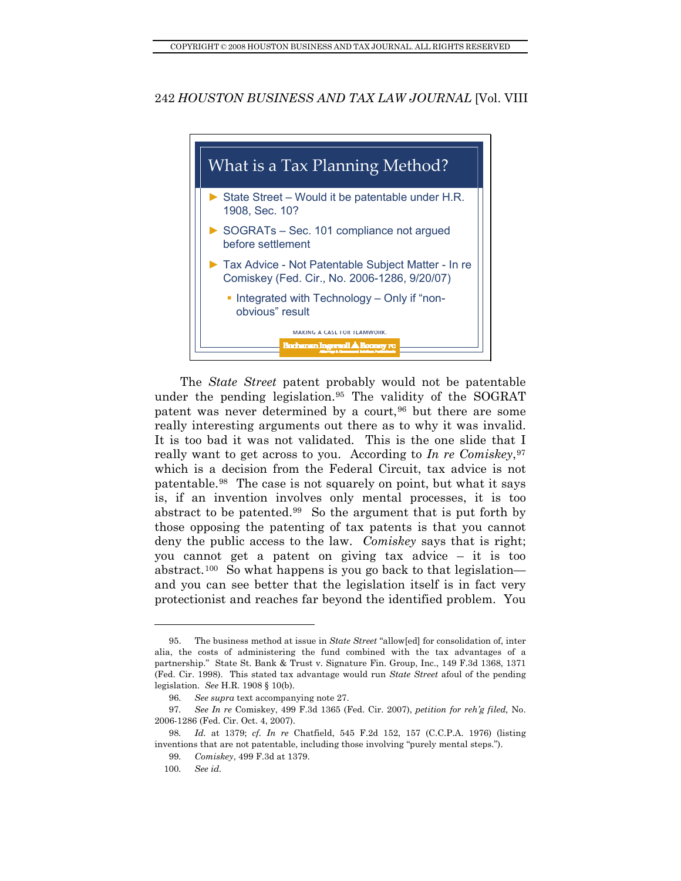

The *State Street* patent probably would not be patentable under the pending legislation.[95](#page-17-0) The validity of the SOGRAT patent was never determined by a court,  $96$  but there are some really interesting arguments out there as to why it was invalid. It is too bad it was not validated. This is the one slide that I really want to get across to you. According to *In re Comiskey*,[97](#page-17-2) which is a decision from the Federal Circuit, tax advice is not patentable.[98](#page-17-3) The case is not squarely on point, but what it says is, if an invention involves only mental processes, it is too abstract to be patented.<sup>[99](#page-17-4)</sup> So the argument that is put forth by those opposing the patenting of tax patents is that you cannot deny the public access to the law. *Comiskey* says that is right; you cannot get a patent on giving tax advice – it is too abstract.[100](#page-17-5) So what happens is you go back to that legislation and you can see better that the legislation itself is in fact very protectionist and reaches far beyond the identified problem. You

<span id="page-17-0"></span> <sup>95.</sup> The business method at issue in *State Street* "allow[ed] for consolidation of, inter alia, the costs of administering the fund combined with the tax advantages of a partnership." State St. Bank & Trust v. Signature Fin. Group, Inc., 149 F.3d 1368, 1371 (Fed. Cir. 1998). This stated tax advantage would run *State Street* afoul of the pending legislation. *See* H.R. 1908 § 10(b).

<sup>96</sup>*. See supra* text accompanying note 27.

<span id="page-17-2"></span><span id="page-17-1"></span><sup>97</sup>*. See In re* Comiskey, 499 F.3d 1365 (Fed. Cir. 2007), *petition for reh'g filed,* No. 2006-1286 (Fed. Cir. Oct. 4, 2007).

<span id="page-17-5"></span><span id="page-17-4"></span><span id="page-17-3"></span><sup>98</sup>*. Id.* at 1379; *cf. In re* Chatfield, 545 F.2d 152, 157 (C.C.P.A. 1976) (listing inventions that are not patentable, including those involving "purely mental steps.").

<sup>99</sup>*. Comiskey*, 499 F.3d at 1379.

<sup>100</sup>*. See id.*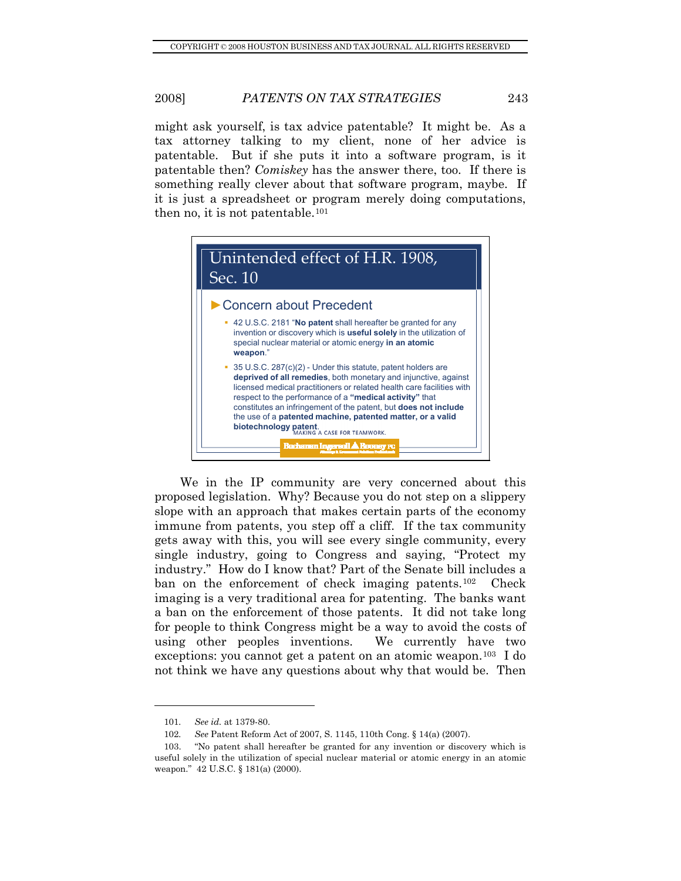then no, it is not patentable.<sup>101</sup> might ask yourself, is tax advice patentable? It might be. As a tax attorney talking to my client, none of her advice is patentable. But if she puts it into a software program, is it patentable then? *Comiskey* has the answer there, too. If there is something really clever about that software program, maybe. If it is just a spreadsheet or program merely doing computations,



We in the IP community are very concerned about this proposed legislation. Why? Because you do not step on a slippery slope with an approach that makes certain parts of the economy immune from patents, you step off a cliff. If the tax community gets away with this, you will see every single community, every single industry, going to Congress and saying, "Protect my industry." How do I know that? Part of the Senate bill includes a ban on the enforcement of check imaging patents.<sup>[102](#page-18-0)</sup> Check imaging is a very traditional area for patenting. The banks want a ban on the enforcement of those patents. It did not take long for people to think Congress might be a way to avoid the costs of using other peoples inventions. We currently have two exceptions: you cannot get a patent on an atomic weapon.[103](#page-18-1) I do not think we have any questions about why that would be. Then

<sup>101</sup>*. See id.* at 1379-80.

<sup>102</sup>*. See* Patent Reform Act of 2007, S. 1145, 110th Cong. § 14(a) (2007).

<span id="page-18-1"></span><span id="page-18-0"></span> <sup>103. &</sup>quot;No patent shall hereafter be granted for any invention or discovery which is useful solely in the utilization of special nuclear material or atomic energy in an atomic weapon." 42 U.S.C. § 181(a) (2000).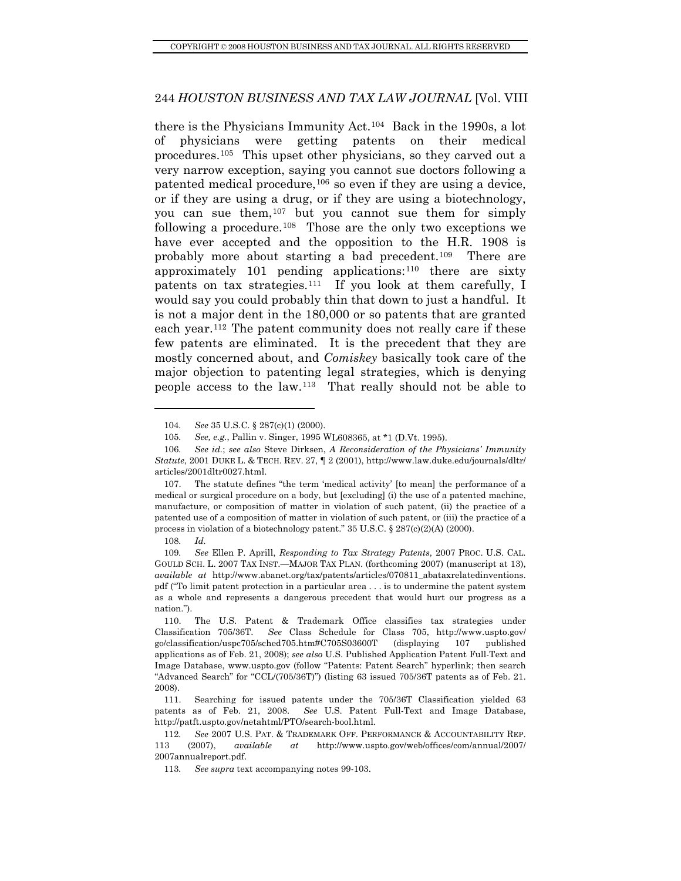people access to the law.113 That really should not be able to there is the Physicians Immunity Act.[104](#page-19-0) Back in the 1990s, a lot of physicians were getting patents on their medical procedures.[105](#page-19-1) This upset other physicians, so they carved out a very narrow exception, saying you cannot sue doctors following a patented medical procedure,[106](#page-19-1) so even if they are using a device, or if they are using a drug, or if they are using a biotechnology, you can sue them,[107](#page-19-2) but you cannot sue them for simply following a procedure.<sup>[108](#page-19-3)</sup> Those are the only two exceptions we have ever accepted and the opposition to the H.R. 1908 is probably more about starting a bad precedent.[109](#page-19-4) There are approximately 101 pending applications: $110$  there are sixty patents on tax strategies.[111](#page-19-6) If you look at them carefully, I would say you could probably thin that down to just a handful. It is not a major dent in the 180,000 or so patents that are granted each year.[112](#page-19-7) The patent community does not really care if these few patents are eliminated. It is the precedent that they are mostly concerned about, and *Comiskey* basically took care of the major objection to patenting legal strategies, which is denying

108*. Id.*

l

<span id="page-19-4"></span><span id="page-19-3"></span>109. See Ellen P. Aprill, Responding to Tax Strategy Patents, 2007 PROC. U.S. CAL. GOULD SCH. L. 2007 TAX INST.—MAJOR TAX PLAN. (forthcoming 2007) (manuscript at 13), *available at* http://www.abanet.org/tax/patents/articles/070811\_abataxrelatedinventions. pdf ("To limit patent protection in a particular area . . . is to undermine the patent system as a whole and represents a dangerous precedent that would hurt our progress as a nation.").

<sup>104</sup>*. See* 35 U.S.C. § 287(c)(1) (2000).

L608365, at \*1 (D.Vt. 1995). 105*. See, e.g.*, Pallin v. Singer, 1995 W

<span id="page-19-1"></span><span id="page-19-0"></span>*icians' Immunity*  106*. See id.*; *see also* Steve Dirksen, *A Reconsideration of the Phys Statute*, 2001 DUKE L. & TECH. REV. 27, ¶ 2 (2001), http://www.law.duke.edu/journals/dltr/ articles/2001dltr0027.html.

<span id="page-19-2"></span><sup>107.</sup> The statute defines "the term 'medical activity' [to mean] the performance of a medical or surgical procedure on a body, but [excluding] (i) the use of a patented machine, manufacture, or composition of matter in violation of such patent, (ii) the practice of a patented use of a composition of matter in violation of such patent, or (iii) the practice of a process in violation of a biotechnology patent."  $35 \text{ U.S.C.}$   $\S 287 \text{ (c)} \text{ (2)} \text{ (A)}$  (2000).

<span id="page-19-5"></span><sup>110.</sup> The U.S. Patent & Trademark Office classifies tax strategies under Classification 705/36T. *See* Class Schedule for Class 705, http://www.uspto.gov/ go/classification/uspc705/sched705.htm#C705S03600T (displaying 107 published applications as of Feb. 21, 2008); *see also* U.S. Published Application Patent Full-Text and Image Database, www.uspto.gov (follow "Patents: Patent Search" hyperlink; then search "Advanced Search" for "CCL/(705/36T)") (listing 63 issued 705/36T patents as of Feb. 21. 2008).

<span id="page-19-6"></span>Searching for issued patents under the 705/36T Classification yielded 63 111. patents as of Feb. 21, 2008. *See* U.S. Patent Full-Text and Image Database, http://patft.uspto.gov/netahtml/PTO/search-bool.html.

<span id="page-19-7"></span><sup>112.</sup> See 2007 U.S. PAT. & TRADEMARK OFF. PERFORMANCE & ACCOUNTABILITY REP. 113 (2007), *available at* http://www.uspto.gov/web/offices/com/annual/2007/ 2007annualreport.pdf.

<sup>113.</sup> See *supra* text accompanying notes 99-103.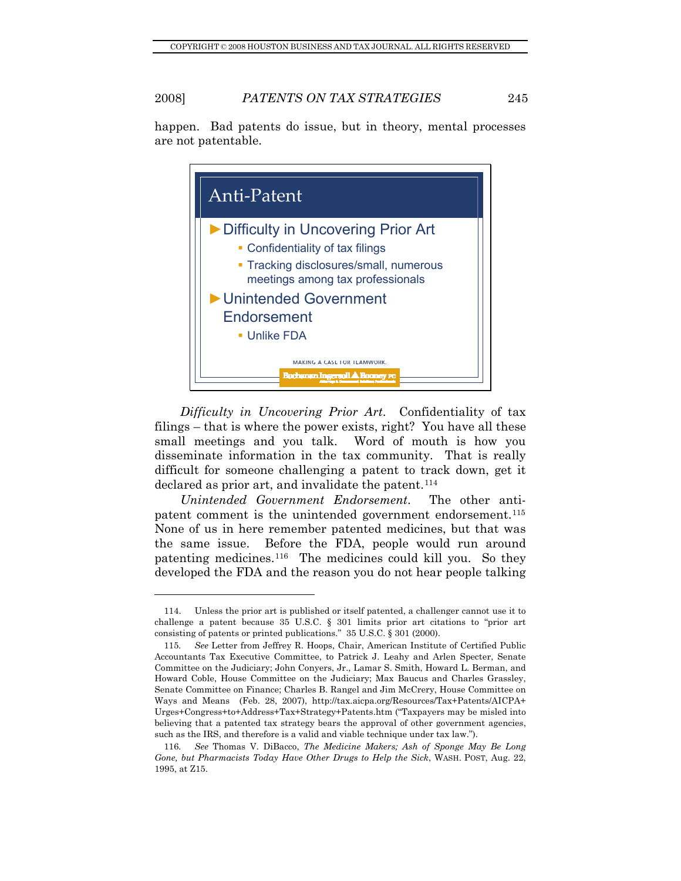happen. Bad patents do issue, but in theory, mental processes are not patentable.



*Difficulty in Uncovering Prior Art*. Confidentiality of tax filings – that is where the power exists, right? You have all these small meetings and you talk. Word of mouth is how you disseminate information in the tax community. That is really difficult for someone challenging a patent to track down, get it declared as prior art, and invalidate the patent.<sup>[114](#page-20-0)</sup>

*Unintended Government Endorsement*. The other antipatent comment is the unintended government endorsement.[115](#page-20-1) None of us in here remember patented medicines, but that was the same issue. Before the FDA, people would run around patenting medicines.[116](#page-20-2) The medicines could kill you. So they developed the FDA and the reason you do not hear people talking

<span id="page-20-0"></span> <sup>114.</sup> Unless the prior art is published or itself patented, a challenger cannot use it to challenge a patent because 35 U.S.C. § 301 limits prior art citations to "prior art consisting of patents or printed publications." 35 U.S.C. § 301 (2000).

<span id="page-20-1"></span><sup>115</sup>*. See* Letter from Jeffrey R. Hoops, Chair, American Institute of Certified Public Accountants Tax Executive Committee, to Patrick J. Leahy and Arlen Specter, Senate Committee on the Judiciary; John Conyers, Jr., Lamar S. Smith, Howard L. Berman, and Howard Coble, House Committee on the Judiciary; Max Baucus and Charles Grassley, Senate Committee on Finance; Charles B. Rangel and Jim McCrery, House Committee on Ways and Means (Feb. 28, 2007), http://tax.aicpa.org/Resources/Tax+Patents/AICPA+ Urges+Congress+to+Address+Tax+Strategy+Patents.htm ("Taxpayers may be misled into believing that a patented tax strategy bears the approval of other government agencies, such as the IRS, and therefore is a valid and viable technique under tax law.").

<span id="page-20-2"></span><sup>116</sup>*. See* Thomas V. DiBacco, *The Medicine Makers; Ash of Sponge May Be Long Gone, but Pharmacists Today Have Other Drugs to Help the Sick*, WASH. POST, Aug. 22, 1995, at Z15.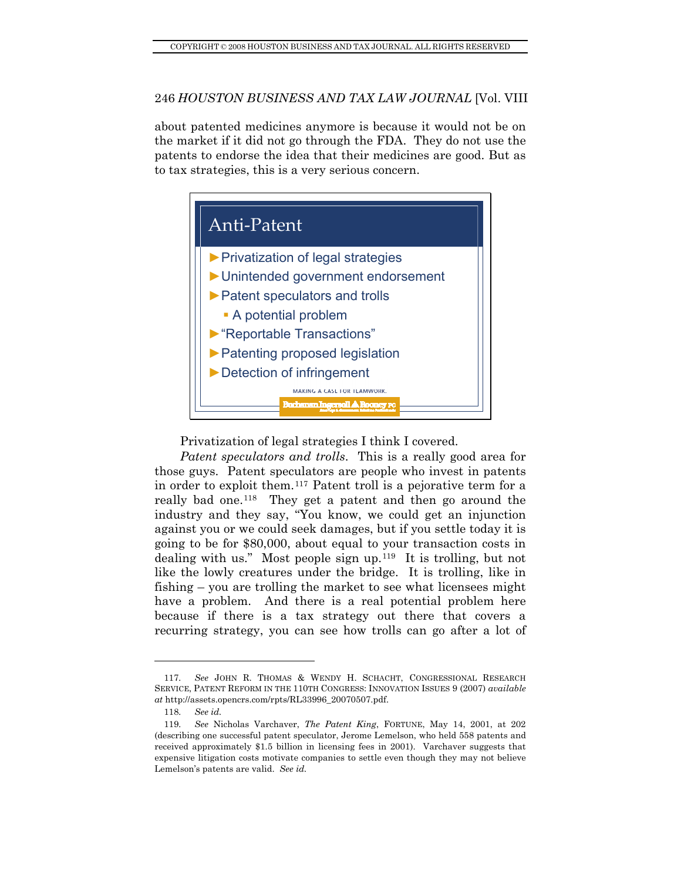about patented medicines anymore is because it would not be on the market if it did not go through the FDA. They do not use the patents to endorse the idea that their medicines are good. But as to tax strategies, this is a very serious concern.



Privatization of legal strategies I think I covered.

Patent speculators and trolls. This is a really good area for thos e guys. Patent speculators are people who invest in patents in order to exploit them.[117](#page-21-0) Patent troll is a pejorative term for a really bad one.[118](#page-21-1) They get a patent and then go around the industry and they say, "You know, we could get an injunction against you or we could seek damages, but if you settle today it is going to be for \$80,000, about equal to your transaction costs in dealing with us." Most people sign up.[119](#page-21-2) It is trolling, but not like the lowly creatures under the bridge. It is trolling, like in fishing – you are trolling the market to see what licensees might have a problem. And there is a real potential problem here because if there is a tax strategy out there that covers a recurring strategy, you can see how trolls can go after a lot of

<span id="page-21-0"></span><sup>117</sup>*. See* JOHN R. THOMAS & WENDY H. SCHACHT, CONGRESSIONAL RESEARCH SERVICE, PATENT REFORM IN THE 110TH CONGRESS: INNOVATION ISSUES 9 (2007) *available at* http://assets.opencrs.com/rpts/RL33996\_20070507.pdf.

<sup>118</sup>*. See id.*

<span id="page-21-2"></span><span id="page-21-1"></span><sup>119</sup>*. See* Nicholas Varchaver, *The Patent King*, FORTUNE, May 14, 2001, at 202 (describing one successful patent speculator, Jerome Lemelson, who held 558 patents and received approximately \$1.5 billion in licensing fees in 2001). Varchaver suggests that expensive litigation costs motivate companies to settle even though they may not believe Lemelson's patents are valid. *See id.*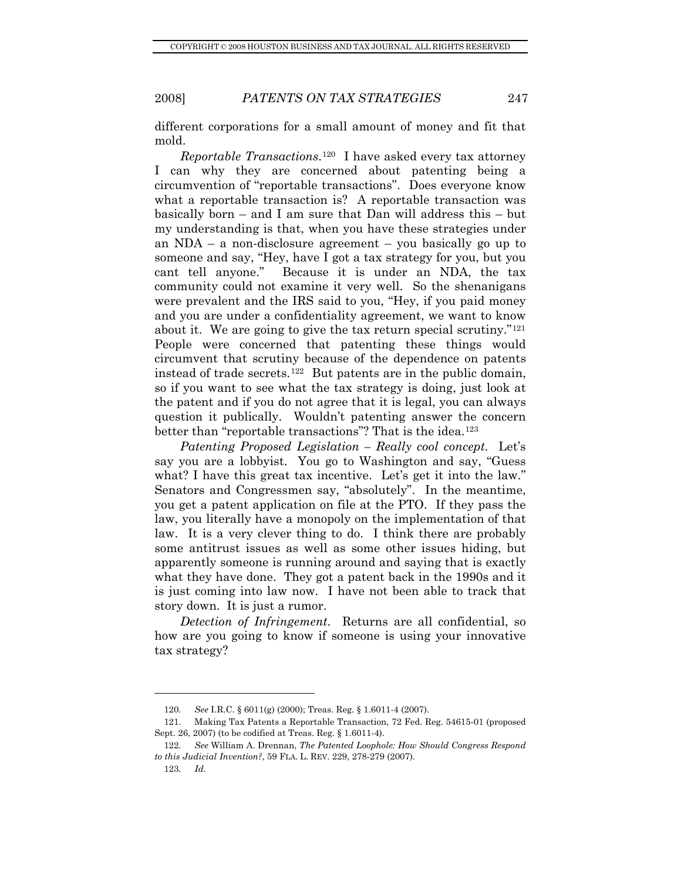different corporations for a small amount of money and fit that mold.

*Reportable Transactions*.[120](#page-22-0) I have asked every tax attorney I can why they are concerned about patenting being a circumvention of "reportable transactions". Does everyone know what a reportable transaction is? A reportable transaction was basically born – and I am sure that Dan will address this – but my understanding is that, when you have these strategies under an NDA – a non-disclosure agreement – you basically go up to someone and say, "Hey, have I got a tax strategy for you, but you cant tell anyone." Because it is under an NDA, the tax community could not examine it very well. So the shenanigans were prevalent and the IRS said to you, "Hey, if you paid money and you are under a confidentiality agreement, we want to know about it. We are going to give the tax return special scrutiny."[121](#page-22-1) People were concerned that patenting these things would circumvent that scrutiny because of the dependence on patents instead of trade secrets.<sup>[122](#page-22-2)</sup> But patents are in the public domain, so if you want to see what the tax strategy is doing, just look at the patent and if you do not agree that it is legal, you can always question it publically. Wouldn't patenting answer the concern better than "reportable transactions"? That is the idea.<sup>[123](#page-22-3)</sup>

*Patenting Proposed Legislation – Really cool concept*. Let's say you are a lobbyist. You go to Washington and say, "Guess what? I have this great tax incentive. Let's get it into the law." Senators and Congressmen say, "absolutely". In the meantime, you get a patent application on file at the PTO. If they pass the law, you literally have a monopoly on the implementation of that law. It is a very clever thing to do. I think there are probably some antitrust issues as well as some other issues hiding, but apparently someone is running around and saying that is exactly what they have done. They got a patent back in the 1990s and it is just coming into law now. I have not been able to track that story down. It is just a rumor.

*Detection of Infringement*. Returns are all confidential, so how are you going to know if someone is using your innovative tax strategy?

<sup>120</sup>*. See* I.R.C. § 6011(g) (2000); Treas. Reg. § 1.6011-4 (2007).

<span id="page-22-1"></span><span id="page-22-0"></span> <sup>121.</sup> Making Tax Patents a Reportable Transaction, 72 Fed. Reg. 54615-01 (proposed Sept. 26, 2007) (to be codified at Treas. Reg. § 1.6011-4).

<span id="page-22-3"></span><span id="page-22-2"></span><sup>122</sup>*. See* William A. Drennan, *The Patented Loophole: How Should Congress Respond to this Judicial Invention?*, 59 FLA. L. REV. 229, 278-279 (2007).

<sup>123</sup>*. Id.*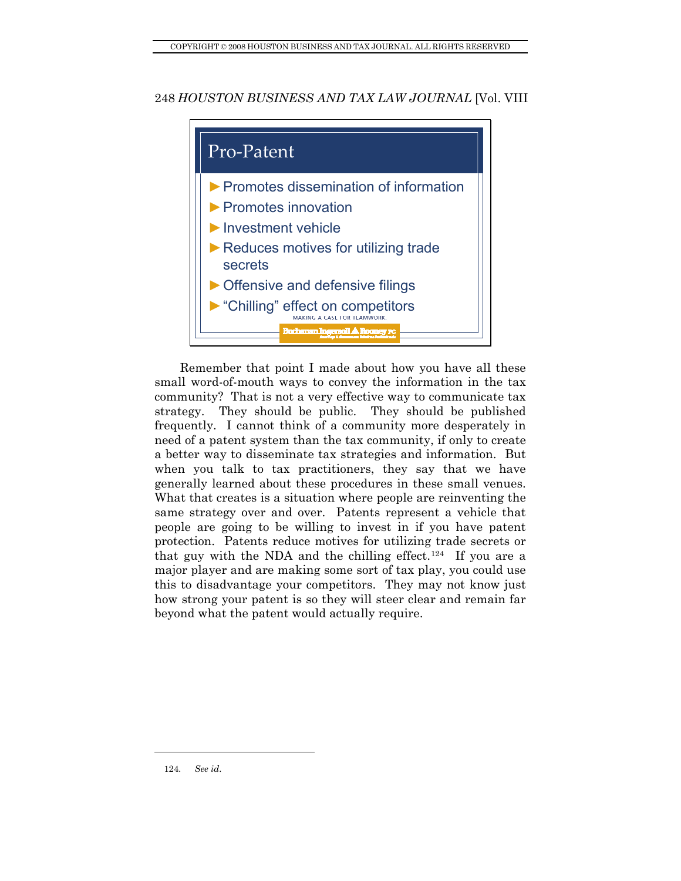

<span id="page-23-0"></span>Remember that point I made about how you have all these small word-of-mouth ways to convey the information in the tax community? That is not a very effective way to communicate tax strategy. They should be public. They should be published frequently. I cannot think of a community more desperately in need of a patent system than the tax community, if only to create a better way to disseminate tax strategies and information. But when you talk to tax practitioners, they say that we have generally learned about these procedures in these small venues. What that creates is a situation where people are reinventing the same strategy over and over. Patents represent a vehicle that people are going to be willing to invest in if you have patent protection. Patents reduce motives for utilizing trade secrets or that guy with the NDA and the chilling effect.<sup>[124](#page-23-0)</sup> If you are a major player and are making some sort of tax play, you could use this to disadvantage your competitors. They may not know just how strong your patent is so they will steer clear and remain far beyond what the patent would actually require.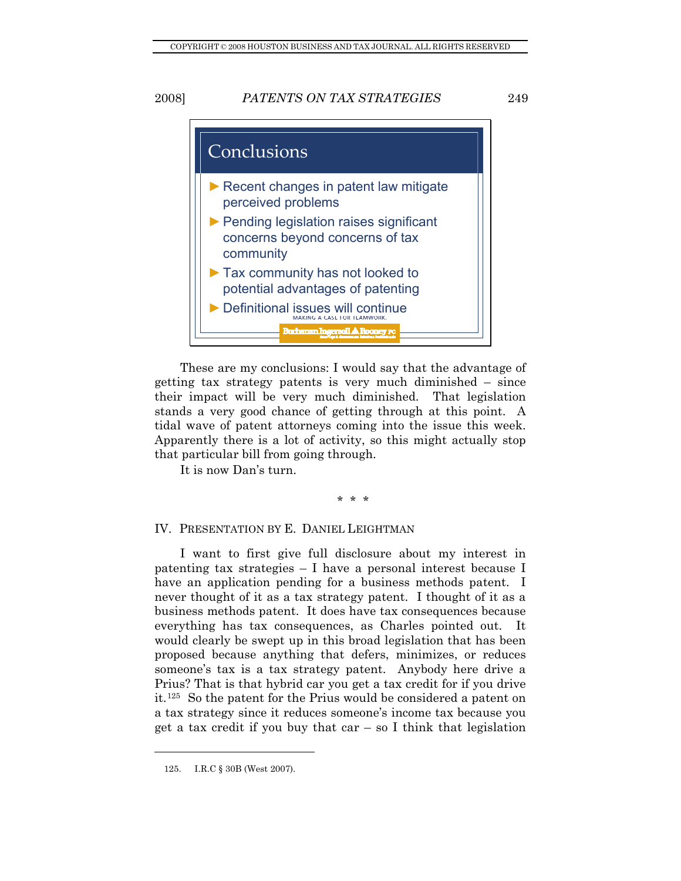<span id="page-24-0"></span>

These are my conclusions: I would say that the advantage of getting tax strategy patents is very much diminished – since their impact will be very much diminished. That legislation stands a very good chance of getting through at this point. A tidal wave of patent attorneys coming into the issue this week. Apparently there is a lot of activity, so this might actually stop that particular bill from going through.

It is now Dan's turn.

#### \* \* \*

# IV. PRESENTATION BY E. DANIEL LEIGHTMAN

I want to first give full disclosure about my interest in patenting tax strategies – I have a personal interest because I have an application pending for a business methods patent. I never thought of it as a tax strategy patent. I thought of it as a business methods patent. It does have tax consequences because everything has tax consequences, as Charles pointed out. It would clearly be swept up in this broad legislation that has been proposed because anything that defers, minimizes, or reduces someone's tax is a tax strategy patent. Anybody here drive a Prius? That is that hybrid car you get a tax credit for if you drive it.[125](#page-24-1) So the patent for the Prius would be considered a patent on a tax strategy since it reduces someone's income tax because you get a tax credit if you buy that  $car - so I$  think that legislation

<span id="page-24-1"></span> <sup>125.</sup> I.R.C § 30B (West 2007).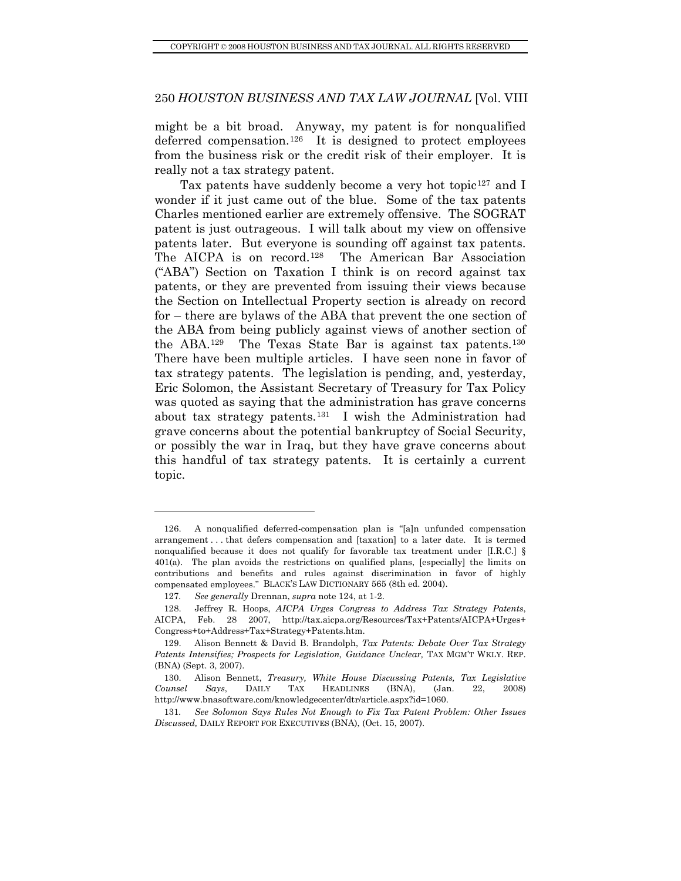might be a bit broad. Anyway, my patent is for nonqualified deferred compensation.[126](#page-25-0) It is designed to protect employees from the business risk or the credit risk of their employer. It is really not a tax strategy patent.

Tax patents have suddenly become a very hot topic<sup>[127](#page-25-1)</sup> and I wonder if it just came out of the blue. Some of the tax patents Charles mentioned earlier are extremely offensive. The SOGRAT patent is just outrageous. I will talk about my view on offensive patents later. But everyone is sounding off against tax patents. The AICPA is on record.[128](#page-25-2) The American Bar Association ("ABA") Section on Taxation I think is on record against tax patents, or they are prevented from issuing their views because the Section on Intellectual Property section is already on record for – there are bylaws of the ABA that prevent the one section of the ABA from being publicly against views of another section of the ABA.[129](#page-25-3) The Texas State Bar is against tax patents.[130](#page-25-4) There have been multiple articles. I have seen none in favor of tax strategy patents. The legislation is pending, and, yesterday, Eric Solomon, the Assistant Secretary of Treasury for Tax Policy was quoted as saying that the administration has grave concerns about tax strategy patents.[131](#page-25-5) I wish the Administration had grave concerns about the potential bankruptcy of Social Security, or possibly the war in Iraq, but they have grave concerns about this handful of tax strategy patents. It is certainly a current topic.

<span id="page-25-0"></span> <sup>126.</sup> A nonqualified deferred-compensation plan is "[a]n unfunded compensation arrangement . . . that defers compensation and [taxation] to a later date. It is termed nonqualified because it does not qualify for favorable tax treatment under [I.R.C.] § 401(a). The plan avoids the restrictions on qualified plans, [especially] the limits on contributions and benefits and rules against discrimination in favor of highly compensated employees." BLACK'S LAW DICTIONARY 565 (8th ed. 2004).

<sup>127</sup>*. See generally* Drennan, *supra* note 124, at 1-2.

<span id="page-25-2"></span><span id="page-25-1"></span> <sup>128.</sup> Jeffrey R. Hoops, *AICPA Urges Congress to Address Tax Strategy Patents*, AICPA, Feb. 28 2007, http://tax.aicpa.org/Resources/Tax+Patents/AICPA+Urges+ Congress+to+Address+Tax+Strategy+Patents.htm.

<span id="page-25-3"></span> <sup>129.</sup> Alison Bennett & David B. Brandolph, *Tax Patents: Debate Over Tax Strategy Patents Intensifies; Prospects for Legislation, Guidance Unclear,* TAX MGM'T WKLY. REP. (BNA) (Sept. 3, 2007).

<span id="page-25-4"></span> <sup>130.</sup> Alison Bennett, *Treasury, White House Discussing Patents, Tax Legislative Counsel Says*, DAILY TAX HEADLINES (BNA), (Jan. 22, 2008) http://www.bnasoftware.com/knowledgecenter/dtr/article.aspx?id=1060.

<span id="page-25-5"></span><sup>131</sup>*. See Solomon Says Rules Not Enough to Fix Tax Patent Problem: Other Issues Discussed,* DAILY REPORT FOR EXECUTIVES (BNA), (Oct. 15, 2007).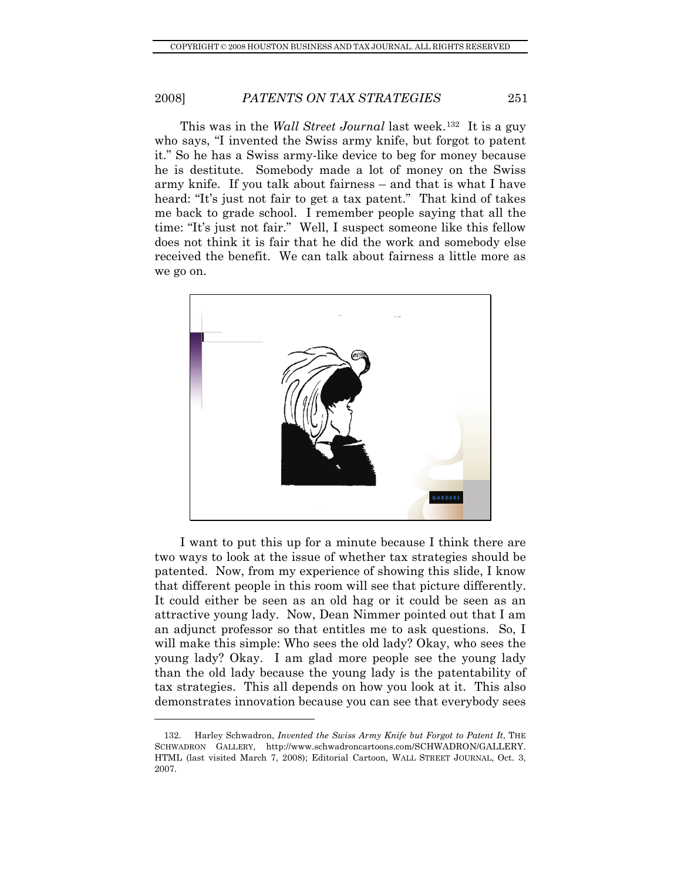This was in the *Wall Street Journal* last week.<sup>[132](#page-26-0)</sup> It is a guy who says, "I invented the Swiss army knife, but forgot to patent it." So he has a Swiss army-like device to beg for money because he is destitute. Somebody made a lot of money on the Swiss army knife. If you talk about fairness – and that is what I have heard: "It's just not fair to get a tax patent." That kind of takes me back to grade school. I remember people saying that all the time: "It's just not fair." Well, I suspect someone like this fellow does not think it is fair that he did the work and somebody else received the benefit. We can talk about fairness a little more as we go on.



I want to put this up for a minute because I think there are two ways to look at the issue of whether tax strategies should be patented. Now, from my experience of showing this slide, I know that different people in this room will see that picture differently. It could either be seen as an old hag or it could be seen as an attractive young lady. Now, Dean Nimmer pointed out that I am an adjunct professor so that entitles me to ask questions. So, I will make this simple: Who sees the old lady? Okay, who sees the young lady? Okay. I am glad more people see the young lady than the old lady because the young lady is the patentability of tax strategies. This all depends on how you look at it. This also demonstrates innovation because you can see that everybody sees

<span id="page-26-0"></span> <sup>132.</sup> Harley Schwadron, *Invented the Swiss Army Knife but Forgot to Patent It*, THE SCHWADRON GALLERY, http://www.schwadroncartoons.com/SCHWADRON/GALLERY. HTML (last visited March 7, 2008); Editorial Cartoon, WALL STREET JOURNAL, Oct. 3, 2007.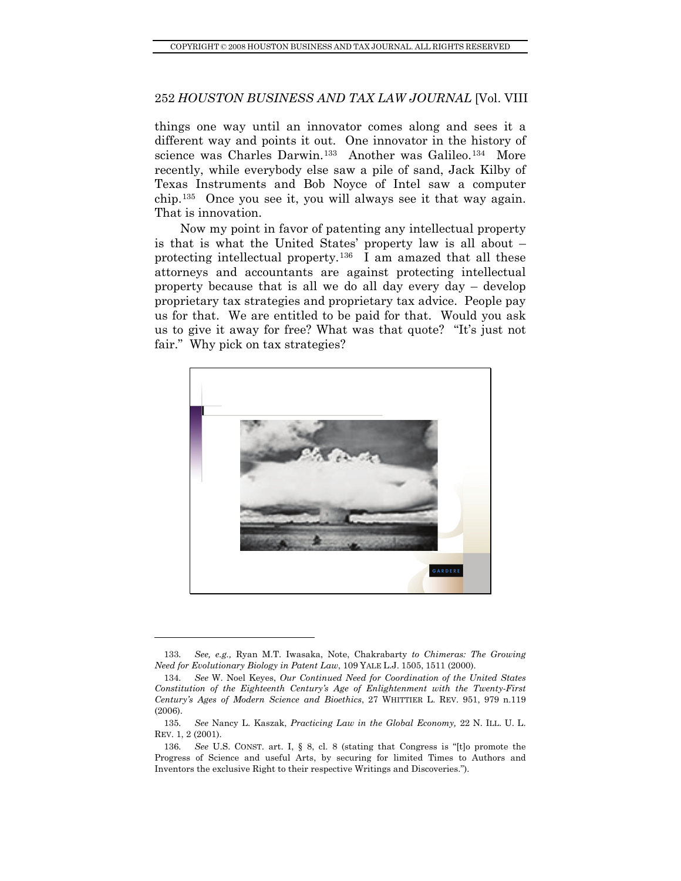things one way until an innovator comes along and sees it a different way and points it out. One innovator in the history of science was Charles Darwin.<sup>[133](#page-27-0)</sup> Another was Galileo.<sup>[134](#page-27-1)</sup> More recently, while everybody else saw a pile of sand, Jack Kilby of Texas Instruments and Bob Noyce of Intel saw a computer chip.[135](#page-27-2) Once you see it, you will always see it that way again. That is innovation.

Now my point in favor of patenting any intellectual property is that is what the United States' property law is all about – protecting intellectual property.[136](#page-27-3) I am amazed that all these attorneys and accountants are against protecting intellectual property because that is all we do all day every day – develop proprietary tax strategies and proprietary tax advice. People pay us for that. We are entitled to be paid for that. Would you ask us to give it away for free? What was that quote? "It's just not fair." Why pick on tax strategies?



<sup>133</sup>*. See, e.g.,* Ryan M.T. Iwasaka, Note, Chakrabarty *to Chimeras: The Growing Need for Evolutionary Biology in Patent Law*, 109 YALE L.J. 1505, 1511 (2000).

<span id="page-27-1"></span><span id="page-27-0"></span><sup>134</sup>*. See* W. Noel Keyes, *Our Continued Need for Coordination of the United States Constitution of the Eighteenth Century's Age of Enlightenment with the Twenty-First Century's Ages of Modern Science and Bioethics*, 27 WHITTIER L. REV. 951, 979 n.119 (2006).

<span id="page-27-2"></span><sup>135</sup>*. See* Nancy L. Kaszak, *Practicing Law in the Global Economy,* 22 N. ILL. U. L. REV. 1, 2 (2001).

<span id="page-27-3"></span><sup>136</sup>*. See* U.S. CONST. art. I, § 8, cl. 8 (stating that Congress is "[t]o promote the Progress of Science and useful Arts, by securing for limited Times to Authors and Inventors the exclusive Right to their respective Writings and Discoveries.").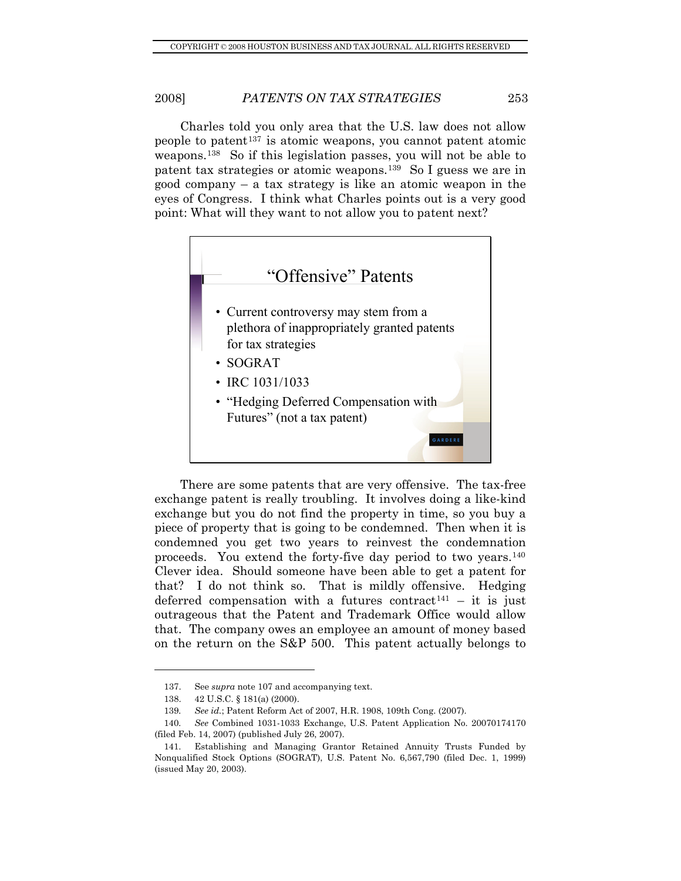Charles told you only area that the U.S. law does not allow people to patent<sup>[137](#page-28-0)</sup> is atomic weapons, you cannot patent atomic weapons.[138](#page-28-1) So if this legislation passes, you will not be able to patent tax strategies or atomic weapons.[139](#page-28-2) So I guess we are in good company – a tax strategy is like an atomic weapon in the eyes of Congress. I think what Charles points out is a very good point: What will they want to not allow you to patent next?



There are some patents that are very offensive. The tax-free exchange patent is really troubling. It involves doing a like-kind exchange but you do not find the property in time, so you buy a piece of property that is going to be condemned. Then when it is condemned you get two years to reinvest the condemnation proceeds. You extend the forty-five day period to two years.[140](#page-28-3) Clever idea. Should someone have been able to get a patent for that? I do not think so. That is mildly offensive. Hedging deferred compensation with a futures contract<sup>[141](#page-28-4)</sup> – it is just outrageous that the Patent and Trademark Office would allow that. The company owes an employee an amount of money based on the return on the S&P 500. This patent actually belongs to

 <sup>137.</sup> See *supra* note 107 and accompanying text.

 <sup>138. 42</sup> U.S.C. § 181(a) (2000).

<sup>139</sup>*. See id.*; Patent Reform Act of 2007, H.R. 1908, 109th Cong. (2007).

<span id="page-28-3"></span><span id="page-28-2"></span><span id="page-28-1"></span><span id="page-28-0"></span><sup>140</sup>*. See* Combined 1031-1033 Exchange, U.S. Patent Application No. 20070174170 (filed Feb. 14, 2007) (published July 26, 2007).

<span id="page-28-4"></span> <sup>141.</sup> Establishing and Managing Grantor Retained Annuity Trusts Funded by Nonqualified Stock Options (SOGRAT), U.S. Patent No. 6,567,790 (filed Dec. 1, 1999) (issued May 20, 2003).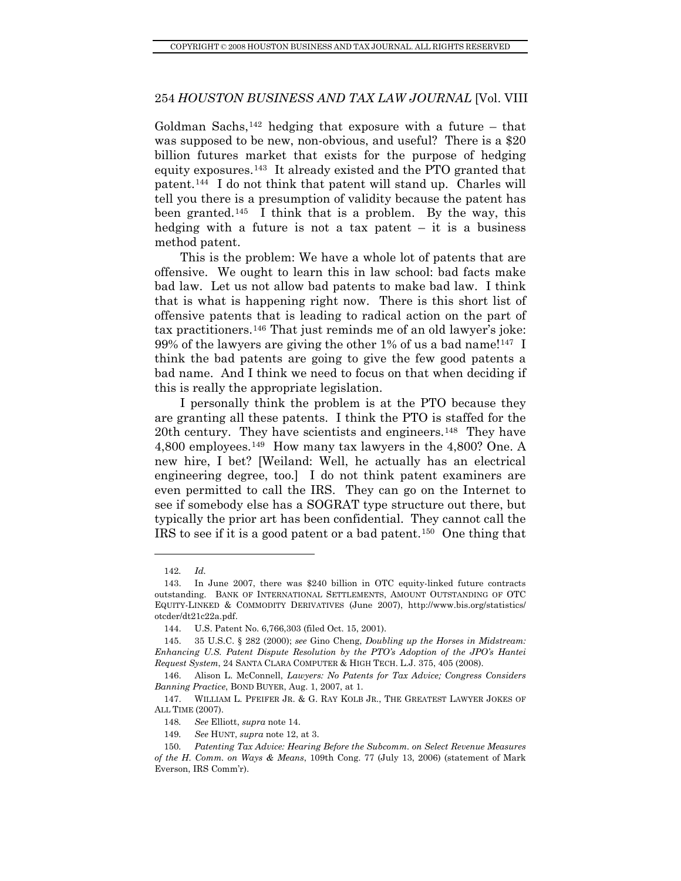Goldman Sachs,<sup>[142](#page-29-0)</sup> hedging that exposure with a future – that was supposed to be new, non-obvious, and useful? There is a \$20 billion futures market that exists for the purpose of hedging equity exposures.[143](#page-29-1) It already existed and the PTO granted that patent.[144](#page-29-2) I do not think that patent will stand up. Charles will tell you there is a presumption of validity because the patent has been granted.[145](#page-29-3) I think that is a problem. By the way, this hedging with a future is not a tax patent  $-$  it is a business method patent.

This is the problem: We have a whole lot of patents that are offensive. We ought to learn this in law school: bad facts make bad law. Let us not allow bad patents to make bad law. I think that is what is happening right now. There is this short list of offensive patents that is leading to radical action on the part of tax practitioners.[146](#page-29-4) That just reminds me of an old lawyer's joke: 99% of the lawyers are giving the other 1% of us a bad name!<sup>[147](#page-29-5)</sup> I think the bad patents are going to give the few good patents a bad name. And I think we need to focus on that when deciding if this is really the appropriate legislation.

I personally think the problem is at the PTO because they are granting all these patents. I think the PTO is staffed for the 20th century. They have scientists and engineers.<sup>[148](#page-29-6)</sup> They have 4,800 employees.[149](#page-29-7) How many tax lawyers in the 4,800? One. A new hire, I bet? [Weiland: Well, he actually has an electrical engineering degree, too.] I do not think patent examiners are even permitted to call the IRS. They can go on the Internet to see if somebody else has a SOGRAT type structure out there, but typically the prior art has been confidential. They cannot call the IRS to see if it is a good patent or a bad patent.[150](#page-29-8) One thing that

<sup>142</sup>*. Id.*

<span id="page-29-1"></span><span id="page-29-0"></span> <sup>143.</sup> In June 2007, there was \$240 billion in OTC equity-linked future contracts outstanding. BANK OF INTERNATIONAL SETTLEMENTS, AMOUNT OUTSTANDING OF OTC EQUITY-LINKED & COMMODITY DERIVATIVES (June 2007), http://www.bis.org/statistics/ otcder/dt21c22a.pdf.

 <sup>144.</sup> U.S. Patent No. 6,766,303 (filed Oct. 15, 2001).

<span id="page-29-3"></span><span id="page-29-2"></span> <sup>145. 35</sup> U.S.C. § 282 (2000); *see* Gino Cheng, *Doubling up the Horses in Midstream: Enhancing U.S. Patent Dispute Resolution by the PTO's Adoption of the JPO's Hantei Request System*, 24 SANTA CLARA COMPUTER & HIGH TECH. L.J. 375, 405 (2008).

<span id="page-29-4"></span> <sup>146.</sup> Alison L. McConnell, *Lawyers: No Patents for Tax Advice; Congress Considers Banning Practice*, BOND BUYER, Aug. 1, 2007, at 1.

<span id="page-29-6"></span><span id="page-29-5"></span> <sup>147.</sup> WILLIAM L. PFEIFER JR. & G. RAY KOLB JR., THE GREATEST LAWYER JOKES OF ALL TIME (2007).

<sup>148</sup>*. See* Elliott, *supra* note 14.

<sup>149</sup>*. See* HUNT, *supra* note 12, at 3.

<span id="page-29-8"></span><span id="page-29-7"></span><sup>150</sup>*. Patenting Tax Advice: Hearing Before the Subcomm. on Select Revenue Measures of the H. Comm. on Ways & Means*, 109th Cong. 77 (July 13, 2006) (statement of Mark Everson, IRS Comm'r).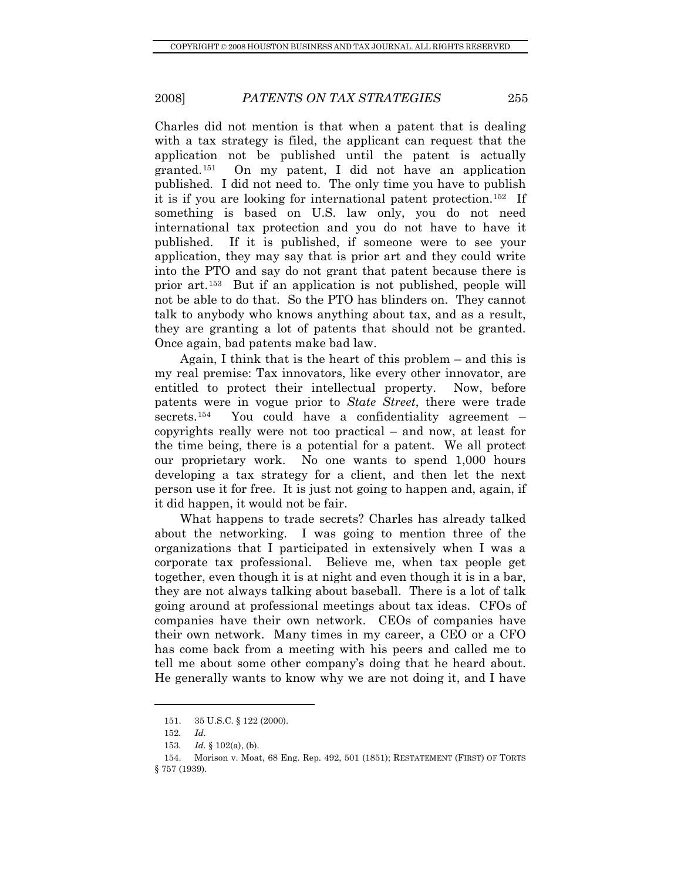Once again, bad patents make bad law. Charles did not mention is that when a patent that is dealing with a tax strategy is filed, the applicant can request that the application not be published until the patent is actually granted.[151](#page-30-0) On my patent, I did not have an application published. I did not need to. The only time you have to publish it is if you are looking for international patent protection.[152](#page-30-1) If something is based on U.S. law only, you do not need international tax protection and you do not have to have it published. If it is published, if someone were to see your application, they may say that is prior art and they could write into the PTO and say do not grant that patent because there is prior art.[153](#page-30-2) But if an application is not published, people will not be able to do that. So the PTO has blinders on. They cannot talk to anybody who knows anything about tax, and as a result, they are granting a lot of patents that should not be granted.

Again, I think that is the heart of this problem – and this is my real premise: Tax innovators, like every other innovator, are entitled to protect their intellectual property. Now, before patents were in vogue prior to *State Street*, there were trade secrets.<sup>[154](#page-30-3)</sup> You could have a confidentiality agreement  $$ copyrights really were not too practical – and now, at least for the time being, there is a potential for a patent. We all protect our proprietary work. No one wants to spend 1,000 hours developing a tax strategy for a client, and then let the next person use it for free. It is just not going to happen and, again, if it did happen, it would not be fair.

What happens to trade secrets? Charles has already talked about the networking. I was going to mention three of the organizations that I participated in extensively when I was a corporate tax professional. Believe me, when tax people get together, even though it is at night and even though it is in a bar, they are not always talking about baseball. There is a lot of talk going around at professional meetings about tax ideas. CFOs of companies have their own network. CEOs of companies have their own network. Many times in my career, a CEO or a CFO has come back from a meeting with his peers and called me to tell me about some other company's doing that he heard about. He generally wants to know why we are not doing it, and I have

<sup>151. 35</sup> U.S.C. § 122 (2000).

<sup>152</sup>*. Id.*

<sup>153</sup>*. Id.* § 102(a), (b).

<span id="page-30-3"></span><span id="page-30-2"></span><span id="page-30-1"></span><span id="page-30-0"></span> <sup>154.</sup> Morison v. Moat, 68 Eng. Rep. 492, 501 (1851); RESTATEMENT (FIRST) OF TORTS § 757 (1939).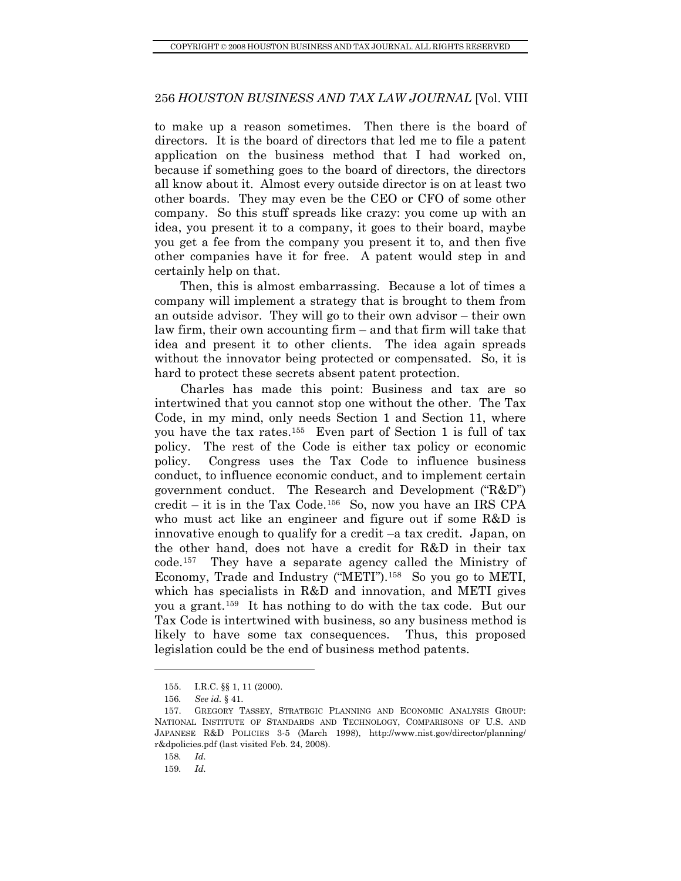to make up a reason sometimes. Then there is the board of directors. It is the board of directors that led me to file a patent application on the business method that I had worked on, because if something goes to the board of directors, the directors all know about it. Almost every outside director is on at least two other boards. They may even be the CEO or CFO of some other company. So this stuff spreads like crazy: you come up with an idea, you present it to a company, it goes to their board, maybe you get a fee from the company you present it to, and then five other companies have it for free. A patent would step in and certainly help on that.

Then, this is almost embarrassing. Because a lot of times a company will implement a strategy that is brought to them from an outside advisor. They will go to their own advisor – their own law firm, their own accounting firm – and that firm will take that idea and present it to other clients. The idea again spreads without the innovator being protected or compensated. So, it is hard to protect these secrets absent patent protection.

Charles has made this point: Business and tax are so intertwined that you cannot stop one without the other. The Tax Code, in my mind, only needs Section 1 and Section 11, where you have the tax rates.[155](#page-31-0) Even part of Section 1 is full of tax policy. The rest of the Code is either tax policy or economic policy. Congress uses the Tax Code to influence business conduct, to influence economic conduct, and to implement certain government conduct. The Research and Development ("R&D") credit – it is in the Tax Code.[156](#page-31-1) So, now you have an IRS CPA who must act like an engineer and figure out if some R&D is innovative enough to qualify for a credit –a tax credit. Japan, on the other hand, does not have a credit for R&D in their tax code.[157](#page-31-2) They have a separate agency called the Ministry of Economy, Trade and Industry ("METI").[158](#page-31-3) So you go to METI, which has specialists in R&D and innovation, and METI gives you a grant.[159](#page-31-4) It has nothing to do with the tax code. But our Tax Code is intertwined with business, so any business method is likely to have some tax consequences. Thus, this proposed legislation could be the end of business method patents.

 <sup>155.</sup> I.R.C. §§ 1, 11 (2000).

<sup>156</sup>*. See id.* § 41.

<span id="page-31-3"></span><span id="page-31-2"></span><span id="page-31-1"></span><span id="page-31-0"></span> <sup>157.</sup> GREGORY TASSEY, STRATEGIC PLANNING AND ECONOMIC ANALYSIS GROUP: NATIONAL INSTITUTE OF STANDARDS AND TECHNOLOGY, COMPARISONS OF U.S. AND JAPANESE R&D POLICIES 3-5 (March 1998), http://www.nist.gov/director/planning/ r&dpolicies.pdf (last visited Feb. 24, 2008).

<sup>158</sup>*. Id.*

<span id="page-31-4"></span><sup>159</sup>*. Id.*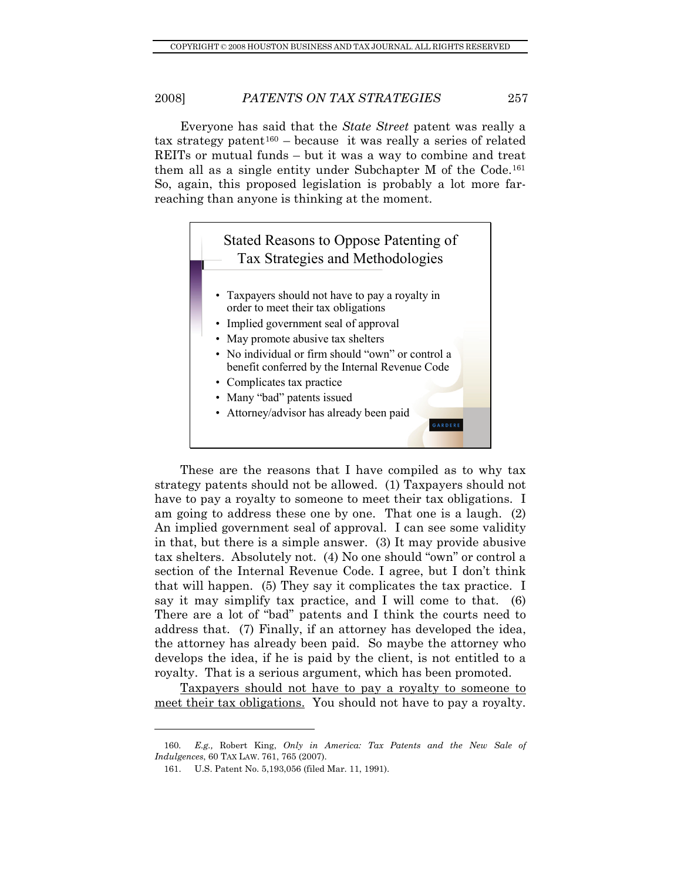Everyone has said that the *State Street* patent was really a  $\text{tax strategy patent}^{160}$  $\text{tax strategy patent}^{160}$  $\text{tax strategy patent}^{160}$  – because it was really a series of related REITs or mutual funds – but it was a way to combine and treat them all as a single entity under Subchapter M of the Code.[161](#page-32-1) So, again, this proposed legislation is probably a lot more farreaching than anyone is thinking at the moment.



These are the reasons that I have compiled as to why tax strategy patents should not be allowed. (1) Taxpayers should not have to pay a royalty to someone to meet their tax obligations. I am going to address these one by one. That one is a laugh. (2) An implied government seal of approval. I can see some validity in that, but there is a simple answer. (3) It may provide abusive tax shelters. Absolutely not. (4) No one should "own" or control a section of the Internal Revenue Code. I agree, but I don't think that will happen. (5) They say it complicates the tax practice. I say it may simplify tax practice, and I will come to that. (6) There are a lot of "bad" patents and I think the courts need to address that. (7) Finally, if an attorney has developed the idea, the attorney has already been paid. So maybe the attorney who develops the idea, if he is paid by the client, is not entitled to a royalty. That is a serious argument, which has been promoted.

Taxpayers should not have to pay a royalty to someone to meet their tax obligations. You should not have to pay a royalty.

<span id="page-32-1"></span><span id="page-32-0"></span><sup>160</sup>*. E.g.,* Robert King, *Only in America: Tax Patents and the New Sale of Indulgences*, 60 TAX LAW. 761, 765 (2007).

 <sup>161.</sup> U.S. Patent No. 5,193,056 (filed Mar. 11, 1991).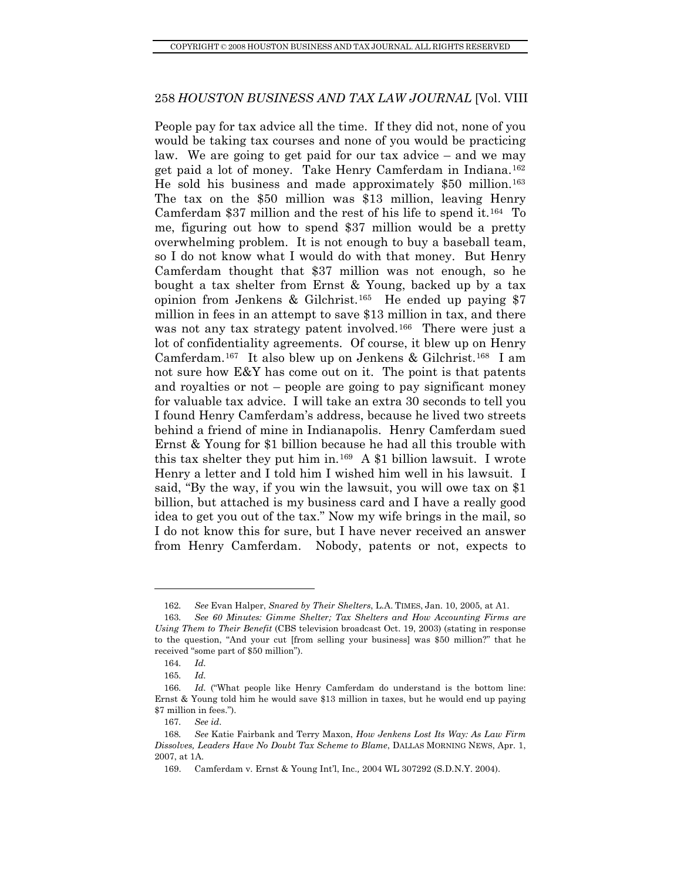People pay for tax advice all the time. If they did not, none of you would be taking tax courses and none of you would be practicing law. We are going to get paid for our tax advice – and we may get paid a lot of money. Take Henry Camferdam in Indiana.[162](#page-33-0) He sold his business and made approximately \$50 million.[163](#page-33-1) The tax on the \$50 million was \$13 million, leaving Henry Camferdam \$37 million and the rest of his life to spend it.[164](#page-33-2) To me, figuring out how to spend \$37 million would be a pretty overwhelming problem. It is not enough to buy a baseball team, so I do not know what I would do with that money. But Henry Camferdam thought that \$37 million was not enough, so he bought a tax shelter from Ernst & Young, backed up by a tax opinion from Jenkens & Gilchrist.[165](#page-33-3) He ended up paying \$7 million in fees in an attempt to save \$13 million in tax, and there was not any tax strategy patent involved.<sup>[166](#page-33-4)</sup> There were just a lot of confidentiality agreements. Of course, it blew up on Henry Camferdam.[167](#page-33-5) It also blew up on Jenkens & Gilchrist.[168](#page-33-6) I am not sure how E&Y has come out on it. The point is that patents and royalties or not – people are going to pay significant money for valuable tax advice. I will take an extra 30 seconds to tell you I found Henry Camferdam's address, because he lived two streets behind a friend of mine in Indianapolis. Henry Camferdam sued Ernst & Young for \$1 billion because he had all this trouble with this tax shelter they put him in.[169](#page-33-7) A \$1 billion lawsuit. I wrote Henry a letter and I told him I wished him well in his lawsuit. I said, "By the way, if you win the lawsuit, you will owe tax on \$1 billion, but attached is my business card and I have a really good idea to get you out of the tax." Now my wife brings in the mail, so I do not know this for sure, but I have never received an answer from Henry Camferdam. Nobody, patents or not, expects to

<sup>162</sup>*. See* Evan Halper, *Snared by Their Shelters*, L.A. TIMES, Jan. 10, 2005, at A1.

<span id="page-33-1"></span><span id="page-33-0"></span><sup>163</sup>*. See 60 Minutes: Gimme Shelter; Tax Shelters and How Accounting Firms are Using Them to Their Benefit* (CBS television broadcast Oct. 19, 2003) (stating in response to the question, "And your cut [from selling your business] was \$50 million?" that he received "some part of \$50 million").

<sup>164</sup>*. Id.*

<sup>165</sup>*. Id.*

<span id="page-33-4"></span><span id="page-33-3"></span><span id="page-33-2"></span><sup>166</sup>*. Id.* ("What people like Henry Camferdam do understand is the bottom line: Ernst & Young told him he would save \$13 million in taxes, but he would end up paying \$7 million in fees.").

<sup>167</sup>*. See id*.

<span id="page-33-7"></span><span id="page-33-6"></span><span id="page-33-5"></span><sup>168</sup>*. See* Katie Fairbank and Terry Maxon, *How Jenkens Lost Its Way: As Law Firm Dissolves, Leaders Have No Doubt Tax Scheme to Blame*, DALLAS MORNING NEWS, Apr. 1, 2007, at 1A.

 <sup>169.</sup> Camferdam v. Ernst & Young Int'l, Inc.*,* 2004 WL 307292 (S.D.N.Y. 2004).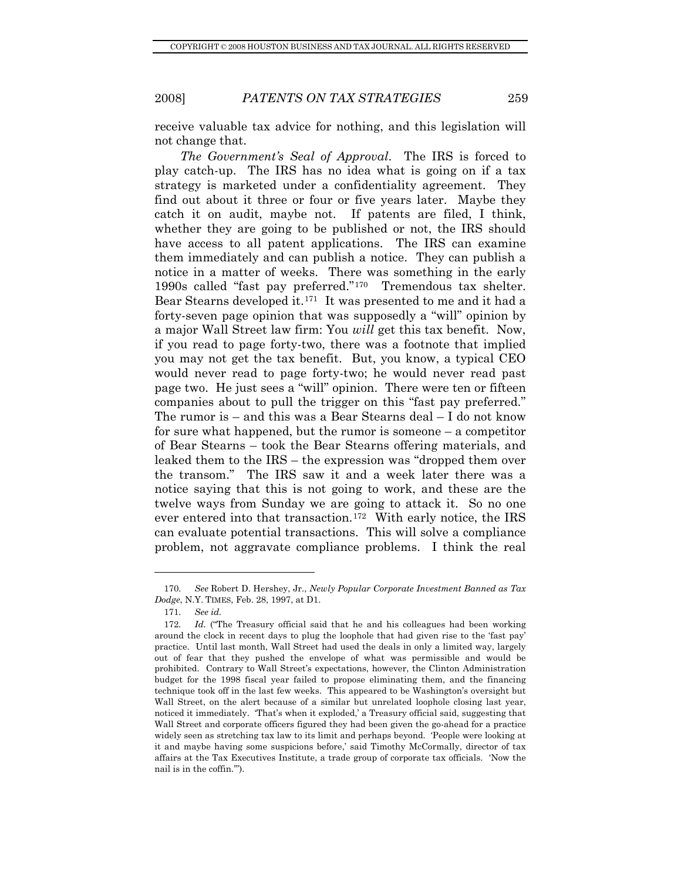receive valuable tax advice for nothing, and this legislation will not change that.

*The Government's Seal of Approval*. The IRS is forced to play catch-up. The IRS has no idea what is going on if a tax strategy is marketed under a confidentiality agreement. They find out about it three or four or five years later. Maybe they catch it on audit, maybe not. If patents are filed, I think, whether they are going to be published or not, the IRS should have access to all patent applications. The IRS can examine them immediately and can publish a notice. They can publish a notice in a matter of weeks. There was something in the early 1990s called "fast pay preferred."[170](#page-34-0) Tremendous tax shelter. Bear Stearns developed it.[171](#page-34-1) It was presented to me and it had a forty-seven page opinion that was supposedly a "will" opinion by a major Wall Street law firm: You *will* get this tax benefit. Now, if you read to page forty-two, there was a footnote that implied you may not get the tax benefit. But, you know, a typical CEO would never read to page forty-two; he would never read past page two. He just sees a "will" opinion. There were ten or fifteen companies about to pull the trigger on this "fast pay preferred." The rumor is – and this was a Bear Stearns deal – I do not know for sure what happened, but the rumor is someone – a competitor of Bear Stearns – took the Bear Stearns offering materials, and leaked them to the IRS – the expression was "dropped them over the transom." The IRS saw it and a week later there was a notice saying that this is not going to work, and these are the twelve ways from Sunday we are going to attack it. So no one ever entered into that transaction.<sup>[172](#page-34-2)</sup> With early notice, the IRS can evaluate potential transactions. This will solve a compliance problem, not aggravate compliance problems. I think the real

<span id="page-34-0"></span><sup>170</sup>*. See* Robert D. Hershey, Jr., *Newly Popular Corporate Investment Banned as Tax Dodge*, N.Y. TIMES, Feb. 28, 1997, at D1.

<sup>171</sup>*. See id.*

<span id="page-34-2"></span><span id="page-34-1"></span><sup>172.</sup> Id. ("The Treasury official said that he and his colleagues had been working around the clock in recent days to plug the loophole that had given rise to the 'fast pay' practice. Until last month, Wall Street had used the deals in only a limited way, largely out of fear that they pushed the envelope of what was permissible and would be prohibited. Contrary to Wall Street's expectations, however, the Clinton Administration budget for the 1998 fiscal year failed to propose eliminating them, and the financing technique took off in the last few weeks. This appeared to be Washington's oversight but Wall Street, on the alert because of a similar but unrelated loophole closing last year, noticed it immediately. 'That's when it exploded,' a Treasury official said, suggesting that Wall Street and corporate officers figured they had been given the go-ahead for a practice widely seen as stretching tax law to its limit and perhaps beyond. 'People were looking at it and maybe having some suspicions before,' said Timothy McCormally, director of tax affairs at the Tax Executives Institute, a trade group of corporate tax officials. 'Now the nail is in the coffin.'").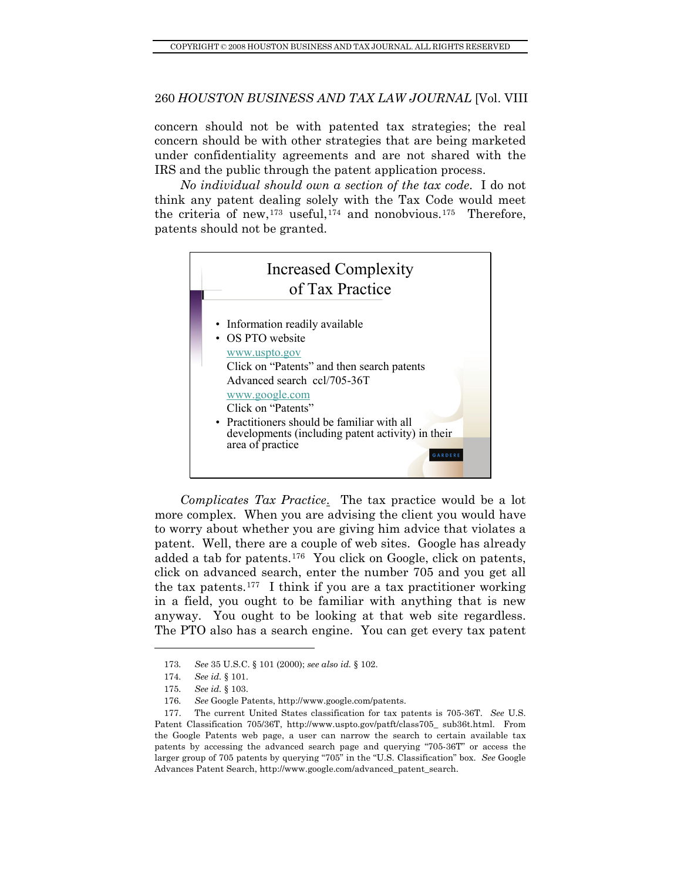concern should not be with patented tax strategies; the real concern should be with other strategies that are being marketed under confidentiality agreements and are not shared with the IRS and the public through the patent application process.

*No individual should own a section of the tax code*. I do not think any patent dealing solely with the Tax Code would meet the criteria of new,<sup>[173](#page-35-0)</sup> useful,<sup>[174](#page-35-1)</sup> and nonobvious.<sup>[175](#page-35-2)</sup> Therefore, patents should not be granted.



*Complicates Tax Practice*. The tax practice would be a lot more complex. When you are advising the client you would have to worry about whether you are giving him advice that violates a patent. Well, there are a couple of web sites. Google has already added a tab for patents.[176](#page-35-3) You click on Google, click on patents, click on advanced search, enter the number 705 and you get all the tax patents.[177](#page-35-4) I think if you are a tax practitioner working in a field, you ought to be familiar with anything that is new anyway. You ought to be looking at that web site regardless. The PTO also has a search engine. You can get every tax patent

<sup>173</sup>*. See* 35 U.S.C. § 101 (2000); *see also id.* § 102.

<sup>174</sup>*. See id.* § 101.

<sup>175</sup>*. See id.* § 103.

<sup>176</sup>*. See* Google Patents, http://www.google.com/patents.

<span id="page-35-4"></span><span id="page-35-3"></span><span id="page-35-2"></span><span id="page-35-1"></span><span id="page-35-0"></span> <sup>177.</sup> The current United States classification for tax patents is 705-36T. *See* U.S. Patent Classification 705/36T, http://www.uspto.gov/patft/class705\_ sub36t.html. From the Google Patents web page, a user can narrow the search to certain available tax patents by accessing the advanced search page and querying "705-36T" or access the larger group of 705 patents by querying "705" in the "U.S. Classification" box. *See* Google Advances Patent Search, http://www.google.com/advanced\_patent\_search.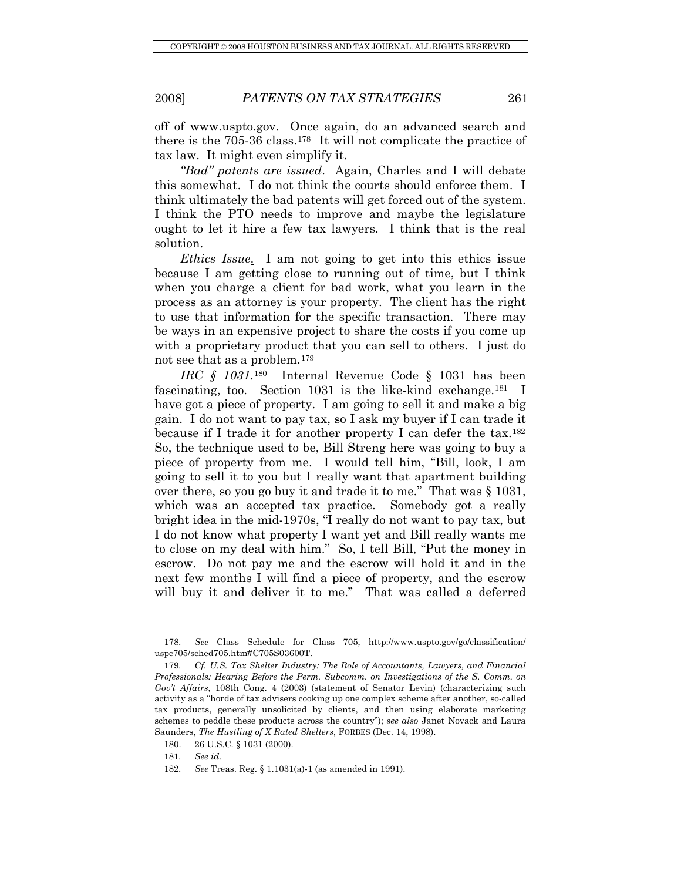off of www.uspto.gov. Once again, do an advanced search and there is the 705-36 class.[178](#page-36-0) It will not complicate the practice of tax law. It might even simplify it.

*"Bad" patents are issued*. Again, Charles and I will debate this somewhat. I do not think the courts should enforce them. I think ultimately the bad patents will get forced out of the system. I think the PTO needs to improve and maybe the legislature ought to let it hire a few tax lawyers. I think that is the real solution.

*Ethics Issue*. I am not going to get into this ethics issue because I am getting close to running out of time, but I think when you charge a client for bad work, what you learn in the process as an attorney is your property. The client has the right to use that information for the specific transaction. There may be ways in an expensive project to share the costs if you come up with a proprietary product that you can sell to others. I just do not see that as a problem.[179](#page-36-1)

*IRC § 1031*.[180](#page-36-2) Internal Revenue Code § 1031 has been fascinating, too. Section 1031 is the like-kind exchange.<sup>[181](#page-36-3)</sup> I have got a piece of property. I am going to sell it and make a big gain. I do not want to pay tax, so I ask my buyer if I can trade it because if I trade it for another property I can defer the tax.<sup>[182](#page-36-4)</sup> So, the technique used to be, Bill Streng here was going to buy a piece of property from me. I would tell him, "Bill, look, I am going to sell it to you but I really want that apartment building over there, so you go buy it and trade it to me." That was § 1031, which was an accepted tax practice. Somebody got a really bright idea in the mid-1970s, "I really do not want to pay tax, but I do not know what property I want yet and Bill really wants me to close on my deal with him." So, I tell Bill, "Put the money in escrow. Do not pay me and the escrow will hold it and in the next few months I will find a piece of property, and the escrow will buy it and deliver it to me." That was called a deferred

<span id="page-36-0"></span><sup>178</sup>*. See* Class Schedule for Class 705, http://www.uspto.gov/go/classification/ uspc705/sched705.htm#C705S03600T.

<span id="page-36-1"></span><sup>179</sup>*. Cf. U.S. Tax Shelter Industry: The Role of Accountants, Lawyers, and Financial Professionals: Hearing Before the Perm. Subcomm. on Investigations of the S. Comm. on Gov't Affairs*, 108th Cong. 4 (2003) (statement of Senator Levin) (characterizing such activity as a "horde of tax advisers cooking up one complex scheme after another, so-called tax products, generally unsolicited by clients, and then using elaborate marketing schemes to peddle these products across the country"); *see also* Janet Novack and Laura Saunders, *The Hustling of X Rated Shelters*, FORBES (Dec. 14, 1998).

<span id="page-36-2"></span> <sup>180. 26</sup> U.S.C. § 1031 (2000).

<sup>181</sup>*. See id.*

<span id="page-36-4"></span><span id="page-36-3"></span><sup>182</sup>*. See* Treas. Reg. § 1.1031(a)-1 (as amended in 1991).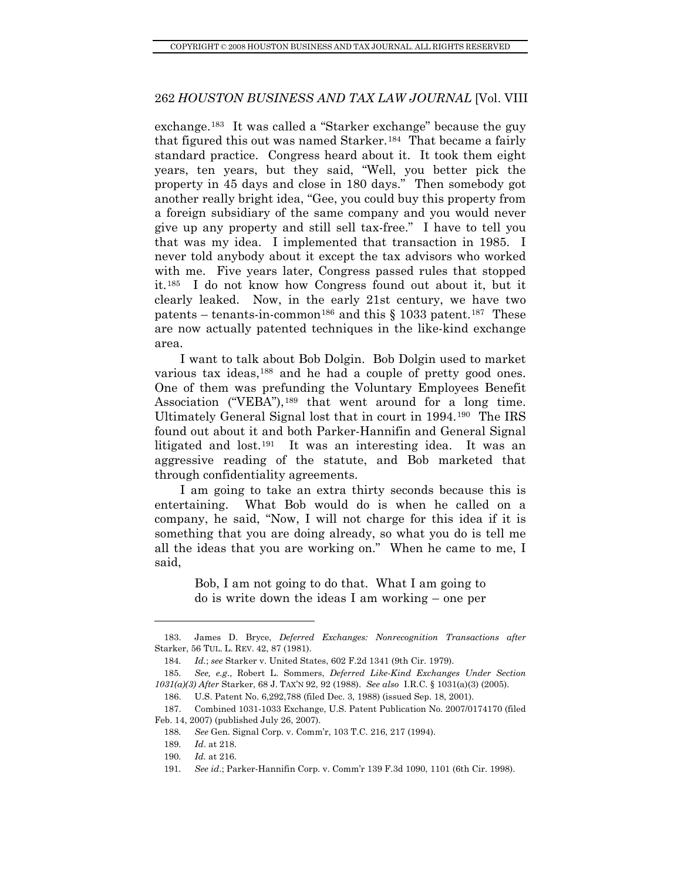exchange.[183](#page-37-0) It was called a "Starker exchange" because the guy that figured this out was named Starker.[184](#page-37-1) That became a fairly standard practice. Congress heard about it. It took them eight years, ten years, but they said, "Well, you better pick the property in 45 days and close in 180 days." Then somebody got another really bright idea, "Gee, you could buy this property from a foreign subsidiary of the same company and you would never give up any property and still sell tax-free." I have to tell you that was my idea. I implemented that transaction in 1985. I never told anybody about it except the tax advisors who worked with me. Five years later, Congress passed rules that stopped it.[185](#page-37-2) I do not know how Congress found out about it, but it clearly leaked. Now, in the early 21st century, we have two patents – tenants-in-common<sup>[186](#page-37-3)</sup> and this  $\S$  1033 patent.<sup>[187](#page-37-4)</sup> These are now actually patented techniques in the like-kind exchange area.

I want to talk about Bob Dolgin. Bob Dolgin used to market various tax ideas,<sup>[188](#page-37-5)</sup> and he had a couple of pretty good ones. One of them was prefunding the Voluntary Employees Benefit Association ("VEBA"),<sup>[189](#page-37-6)</sup> that went around for a long time. Ultimately General Signal lost that in court in 1994.[190](#page-37-7) The IRS found out about it and both Parker-Hannifin and General Signal litigated and lost.[191](#page-37-8) It was an interesting idea. It was an aggressive reading of the statute, and Bob marketed that through confidentiality agreements.

I am going to take an extra thirty seconds because this is entertaining. What Bob would do is when he called on a company, he said, "Now, I will not charge for this idea if it is something that you are doing already, so what you do is tell me all the ideas that you are working on." When he came to me, I said,

> Bob, I am not going to do that. What I am going to do is write down the ideas I am working – one per

<span id="page-37-0"></span> <sup>183.</sup> James D. Bryce, *Deferred Exchanges: Nonrecognition Transactions after*  Starker, 56 TUL. L. REV. 42, 87 (1981).

<sup>184</sup>*. Id.*; *see* Starker v. United States, 602 F.2d 1341 (9th Cir. 1979).

<span id="page-37-2"></span><span id="page-37-1"></span><sup>185</sup>*. See, e.g*., Robert L. Sommers, *Deferred Like-Kind Exchanges Under Section 1031(a)(3) After* Starker, 68 J. TAX'N 92, 92 (1988). *See also* I.R.C. § 1031(a)(3) (2005).

 <sup>186.</sup> U.S. Patent No. 6,292,788 (filed Dec. 3, 1988) (issued Sep. 18, 2001).

<span id="page-37-7"></span><span id="page-37-6"></span><span id="page-37-5"></span><span id="page-37-4"></span><span id="page-37-3"></span> <sup>187.</sup> Combined 1031-1033 Exchange, U.S. Patent Publication No. 2007/0174170 (filed Feb. 14, 2007) (published July 26, 2007).

<sup>188</sup>*. See* Gen. Signal Corp. v. Comm'r, 103 T.C. 216, 217 (1994).

<sup>189</sup>*. Id*. at 218.

<sup>190</sup>*. Id.* at 216.

<span id="page-37-8"></span><sup>191</sup>*. See id*.; Parker-Hannifin Corp. v. Comm'r 139 F.3d 1090, 1101 (6th Cir. 1998).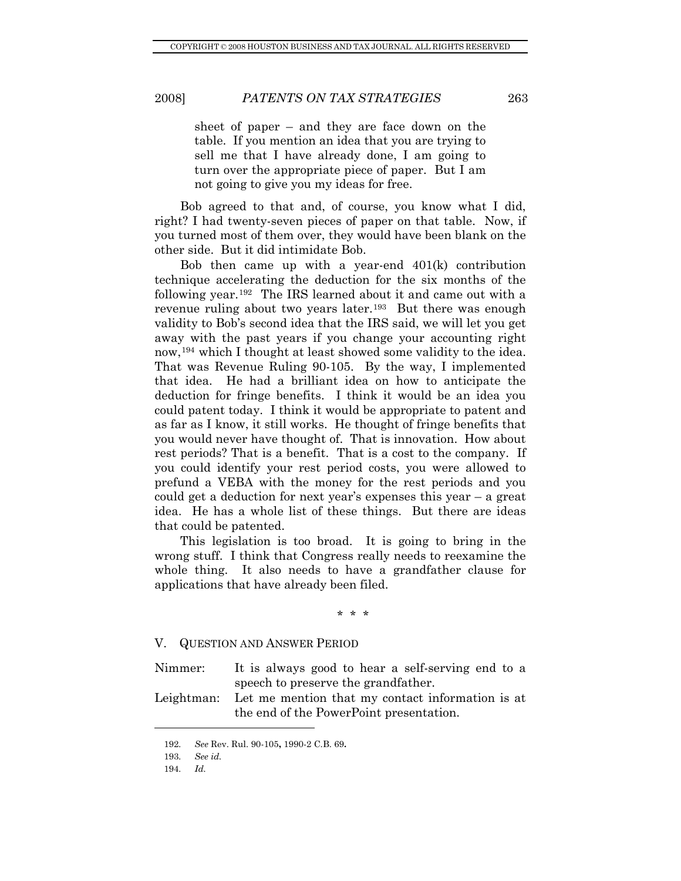<span id="page-38-0"></span>

sheet of paper – and they are face down on the table. If you mention an idea that you are trying to sell me that I have already done, I am going to turn over the appropriate piece of paper. But I am not going to give you my ideas for free.

Bob agreed to that and, of course, you know what I did, right? I had twenty-seven pieces of paper on that table. Now, if you turned most of them over, they would have been blank on the other side. But it did intimidate Bob.

Bob then came up with a year-end 401(k) contribution technique accelerating the deduction for the six months of the following year.[192](#page-38-1) The IRS learned about it and came out with a revenue ruling about two years later.<sup>[193](#page-38-2)</sup> But there was enough validity to Bob's second idea that the IRS said, we will let you get away with the past years if you change your accounting right now,<sup>[194](#page-38-3)</sup> which I thought at least showed some validity to the idea. That was Revenue Ruling 90-105. By the way, I implemented that idea. He had a brilliant idea on how to anticipate the deduction for fringe benefits. I think it would be an idea you could patent today. I think it would be appropriate to patent and as far as I know, it still works. He thought of fringe benefits that you would never have thought of. That is innovation. How about rest periods? That is a benefit. That is a cost to the company. If you could identify your rest period costs, you were allowed to prefund a VEBA with the money for the rest periods and you could get a deduction for next year's expenses this year – a great idea. He has a whole list of these things. But there are ideas that could be patented.

This legislation is too broad. It is going to bring in the wrong stuff. I think that Congress really needs to reexamine the whole thing. It also needs to have a grandfather clause for applications that have already been filed.

\* \* \*

### V. QUESTION AND ANSWER PERIOD

Nimmer: It is always good to hear a self-serving end to a speech to preserve the grandfather.

<span id="page-38-1"></span>Leightman: Let me mention that my contact information is at the end of the PowerPoint presentation.

<span id="page-38-2"></span><sup>192</sup>*. See* Rev. Rul. 90-105**,** 1990-2 C.B. 69**.**

<span id="page-38-3"></span><sup>193</sup>*. See id.*

<sup>194</sup>*. Id.*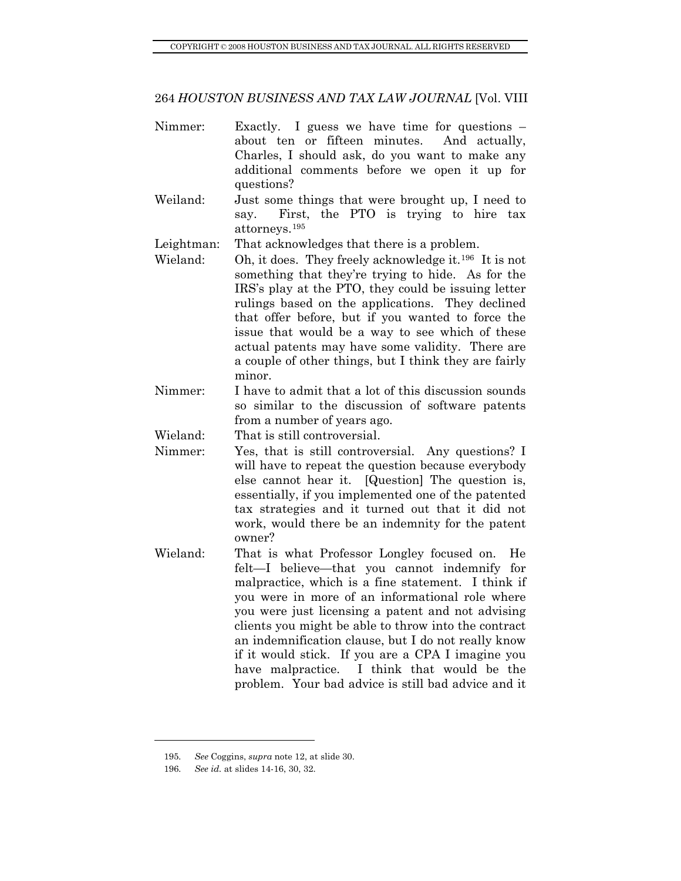- Nimmer: Exactly. I guess we have time for questions about ten or fifteen minutes. And actually, Charles, I should ask, do you want to make any additional comments before we open it up for questions?
- Weiland: Just some things that were brought up, I need to say. First, the PTO is trying to hire tax attorneys.[195](#page-39-0)

Leightman: That acknowledges that there is a problem.

- Wieland: Oh, it does. They freely acknowledge it.<sup>[196](#page-39-1)</sup> It is not something that they're trying to hide. As for the IRS's play at the PTO, they could be issuing letter rulings based on the applications. They declined that offer before, but if you wanted to force the issue that would be a way to see which of these actual patents may have some validity. There are a couple of other things, but I think they are fairly minor.
- Nimmer: I have to admit that a lot of this discussion sounds so similar to the discussion of software patents from a number of years ago.

Wieland: That is still controversial.

- Nimmer: Yes, that is still controversial. Any questions? I will have to repeat the question because everybody else cannot hear it. [Question] The question is, essentially, if you implemented one of the patented tax strategies and it turned out that it did not work, would there be an indemnity for the patent owner?
- Wieland: That is what Professor Longley focused on. He felt—I believe—that you cannot indemnify for malpractice, which is a fine statement. I think if you were in more of an informational role where you were just licensing a patent and not advising clients you might be able to throw into the contract an indemnification clause, but I do not really know if it would stick. If you are a CPA I imagine you have malpractice. I think that would be the problem. Your bad advice is still bad advice and it

<span id="page-39-1"></span><span id="page-39-0"></span><sup>195</sup>*. See* Coggins, *supra* note 12, at slide 30.

<sup>196</sup>*. See id.* at slides 14-16, 30, 32.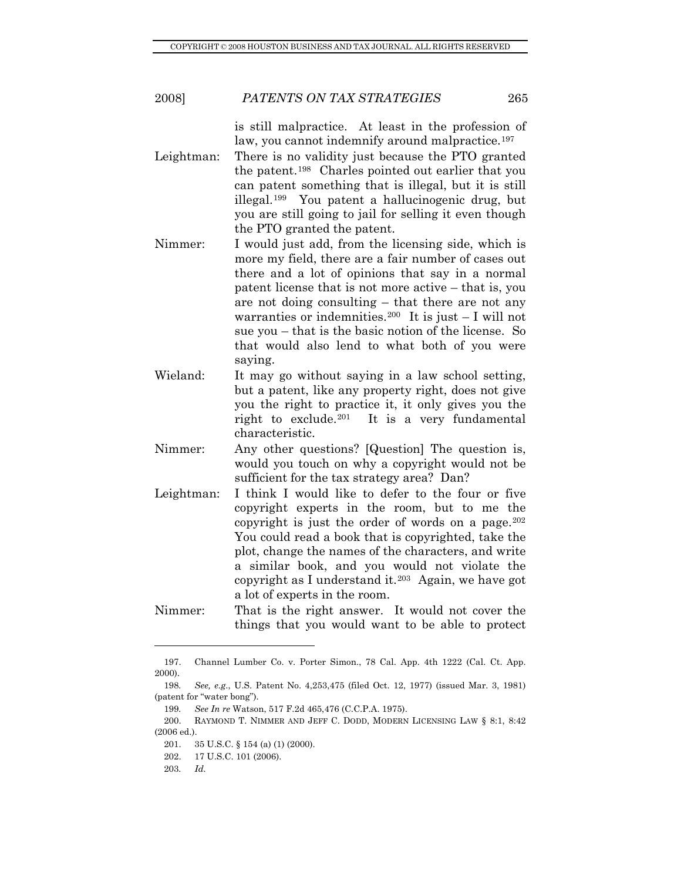is still malpractice. At least in the profession of law, you cannot indemnify around malpractice.<sup>[197](#page-40-0)</sup>

- Leightman: There is no validity just because the PTO granted the patent.[198](#page-40-1) Charles pointed out earlier that you can patent something that is illegal, but it is still illegal.[199](#page-40-2) You patent a hallucinogenic drug, but you are still going to jail for selling it even though the PTO granted the patent.
- Nimmer: I would just add, from the licensing side, which is more my field, there are a fair number of cases out there and a lot of opinions that say in a normal patent license that is not more active – that is, you are not doing consulting – that there are not any warranties or indemnities.<sup>[200](#page-40-3)</sup> It is just  $-$  I will not sue you – that is the basic notion of the license. So that would also lend to what both of you were saying.
- Wieland: It may go without saying in a law school setting, but a patent, like any property right, does not give you the right to practice it, it only gives you the right to exclude.<sup>[201](#page-40-4)</sup> It is a very fundamental characteristic.
- Nimmer: Any other questions? [Question] The question is, would you touch on why a copyright would not be sufficient for the tax strategy area? Dan?
- Leightman: I think I would like to defer to the four or five copyright experts in the room, but to me the copyright is just the order of words on a page. $202$ You could read a book that is copyrighted, take the plot, change the names of the characters, and write a similar book, and you would not violate the copyright as I understand it.<sup>[203](#page-40-6)</sup> Again, we have got a lot of experts in the room.
- Nimmer: That is the right answer. It would not cover the things that you would want to be able to protect

<span id="page-40-0"></span> <sup>197.</sup> Channel Lumber Co. v. Porter Simon., 78 Cal. App. 4th 1222 (Cal. Ct. App. 2000).

<span id="page-40-1"></span><sup>198</sup>*. See, e.g*., U.S. Patent No. 4,253,475 (filed Oct. 12, 1977) (issued Mar. 3, 1981) (patent for "water bong").

<sup>199</sup>*. See In re* Watson, 517 F.2d 465,476 (C.C.P.A. 1975).

<span id="page-40-6"></span><span id="page-40-5"></span><span id="page-40-4"></span><span id="page-40-3"></span><span id="page-40-2"></span> <sup>200.</sup> RAYMOND T. NIMMER AND JEFF C. DODD, MODERN LICENSING LAW § 8:1, 8:42 (2006 ed.).

 <sup>201. 35</sup> U.S.C. § 154 (a) (1) (2000).

 <sup>202. 17</sup> U.S.C. 101 (2006).

<sup>203</sup>*. Id.*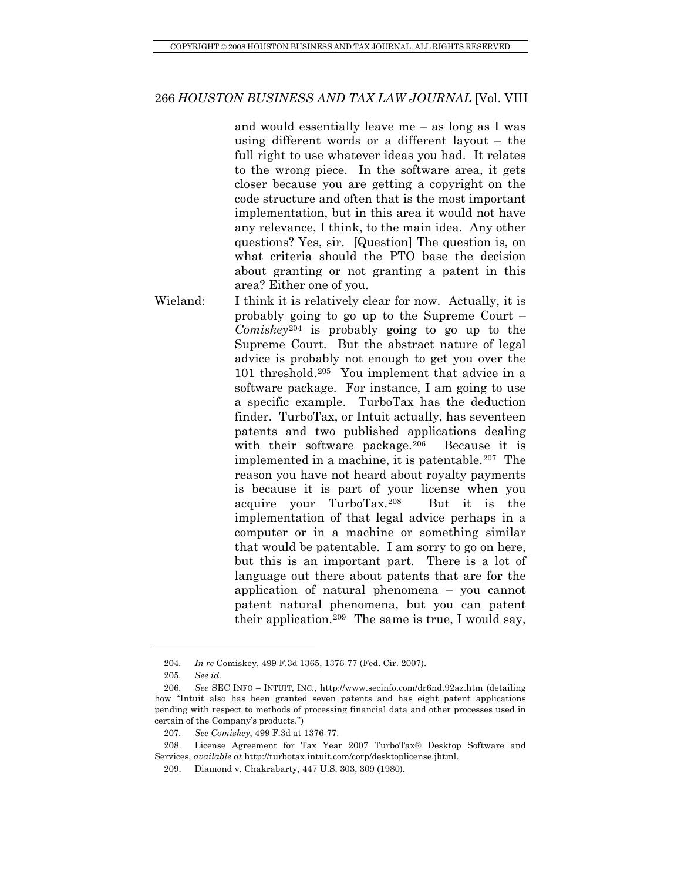and would essentially leave me – as long as I was using different words or a different layout – the full right to use whatever ideas you had. It relates to the wrong piece. In the software area, it gets closer because you are getting a copyright on the code structure and often that is the most important implementation, but in this area it would not have any relevance, I think, to the main idea. Any other questions? Yes, sir. [Question] The question is, on what criteria should the PTO base the decision about granting or not granting a patent in this area? Either one of you.

Wieland: I think it is relatively clear for now. Actually, it is probably going to go up to the Supreme Court – *Comiskey*[204](#page-41-0) is probably going to go up to the Supreme Court. But the abstract nature of legal advice is probably not enough to get you over the 101 threshold.[205](#page-41-1) You implement that advice in a software package. For instance, I am going to use a specific example. TurboTax has the deduction finder. TurboTax, or Intuit actually, has seventeen patents and two published applications dealing with their software package.<sup>[206](#page-41-2)</sup> Because it is implemented in a machine, it is patentable.[207](#page-41-3) The reason you have not heard about royalty payments is because it is part of your license when you acquire your TurboTax.[208](#page-41-4) But it is the implementation of that legal advice perhaps in a computer or in a machine or something similar that would be patentable. I am sorry to go on here, but this is an important part. There is a lot of language out there about patents that are for the application of natural phenomena – you cannot patent natural phenomena, but you can patent their application.[209](#page-41-5) The same is true, I would say,

<sup>204</sup>*. In re* Comiskey, 499 F.3d 1365, 1376-77 (Fed. Cir. 2007).

<sup>205</sup>*. See id.*

<span id="page-41-2"></span><span id="page-41-1"></span><span id="page-41-0"></span><sup>206</sup>*. See* SEC INFO – INTUIT, INC., http://www.secinfo.com/dr6nd.92az.htm (detailing how "Intuit also has been granted seven patents and has eight patent applications pending with respect to methods of processing financial data and other processes used in certain of the Company's products.")

<sup>207</sup>*. See Comiskey*, 499 F.3d at 1376-77.

<span id="page-41-5"></span><span id="page-41-4"></span><span id="page-41-3"></span> <sup>208.</sup> License Agreement for Tax Year 2007 TurboTax® Desktop Software and Services, *available at* http://turbotax.intuit.com/corp/desktoplicense.jhtml.

 <sup>209.</sup> Diamond v. Chakrabarty, 447 U.S. 303, 309 (1980).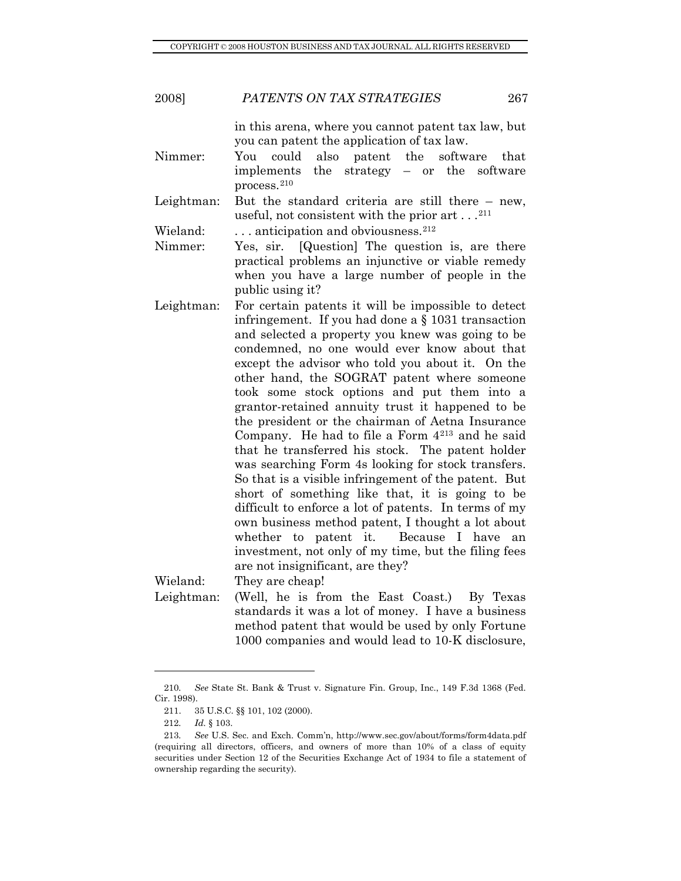| 267 |
|-----|
|     |

in this arena, where you cannot patent tax law, but you can patent the application of tax law.

Nimmer: You could also patent the software that implements the strategy – or the software process.[210](#page-42-0)

Leightman: But the standard criteria are still there – new, useful, not consistent with the prior art . . .[211](#page-42-1)

Wieland:  $\ldots$  anticipation and obviousness.<sup>[212](#page-42-2)</sup>

Nimmer: Yes, sir. [Question] The question is, are there practical problems an injunctive or viable remedy when you have a large number of people in the public using it?

Leightman: For certain patents it will be impossible to detect infringement. If you had done a § 1031 transaction and selected a property you knew was going to be condemned, no one would ever know about that except the advisor who told you about it. On the other hand, the SOGRAT patent where someone took some stock options and put them into a grantor-retained annuity trust it happened to be the president or the chairman of Aetna Insurance Company. He had to file a Form 4[213](#page-42-3) and he said that he transferred his stock. The patent holder was searching Form 4s looking for stock transfers. So that is a visible infringement of the patent. But short of something like that, it is going to be difficult to enforce a lot of patents. In terms of my own business method patent, I thought a lot about whether to patent it. Because I have an investment, not only of my time, but the filing fees are not insignificant, are they?

Wieland: They are cheap!

Leightman: (Well, he is from the East Coast.) By Texas standards it was a lot of money. I have a business method patent that would be used by only Fortune 1000 companies and would lead to 10-K disclosure,

<span id="page-42-1"></span><span id="page-42-0"></span><sup>210</sup>*. See* State St. Bank & Trust v. Signature Fin. Group, Inc., 149 F.3d 1368 (Fed. Cir. 1998).

 <sup>211. 35</sup> U.S.C. §§ 101, 102 (2000).

<sup>212</sup>*. Id.* § 103.

<span id="page-42-3"></span><span id="page-42-2"></span><sup>213</sup>*. See* U.S. Sec. and Exch. Comm'n, http://www.sec.gov/about/forms/form4data.pdf (requiring all directors, officers, and owners of more than 10% of a class of equity securities under Section 12 of the Securities Exchange Act of 1934 to file a statement of ownership regarding the security).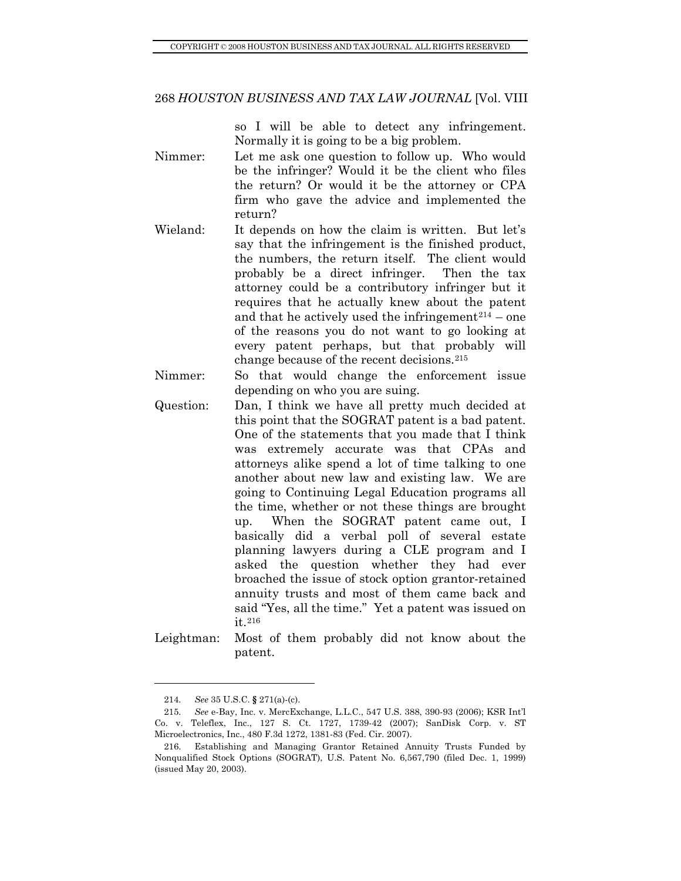so I will be able to detect any infringement. Normally it is going to be a big problem.

- Nimmer: Let me ask one question to follow up. Who would be the infringer? Would it be the client who files the return? Or would it be the attorney or CPA firm who gave the advice and implemented the return?
- Wieland: It depends on how the claim is written. But let's say that the infringement is the finished product, the numbers, the return itself. The client would probably be a direct infringer. Then the tax attorney could be a contributory infringer but it requires that he actually knew about the patent and that he actively used the infringement $2^{14}$  – one of the reasons you do not want to go looking at every patent perhaps, but that probably will change because of the recent decisions.[215](#page-43-1)
- Nimmer: So that would change the enforcement issue depending on who you are suing.
- Question: Dan, I think we have all pretty much decided at this point that the SOGRAT patent is a bad patent. One of the statements that you made that I think was extremely accurate was that CPAs and attorneys alike spend a lot of time talking to one another about new law and existing law. We are going to Continuing Legal Education programs all the time, whether or not these things are brought up. When the SOGRAT patent came out, I basically did a verbal poll of several estate planning lawyers during a CLE program and I asked the question whether they had ever broached the issue of stock option grantor-retained annuity trusts and most of them came back and said "Yes, all the time." Yet a patent was issued on it.[216](#page-43-2)
- Leightman: Most of them probably did not know about the patent.

<sup>214</sup>*. See* 35 U.S.C. **§** 271(a)-(c).

<span id="page-43-1"></span><span id="page-43-0"></span><sup>215</sup>*. See* e-Bay, Inc. v. MercExchange, L.L.C., 547 U.S. 388, 390-93 (2006); KSR Int'l Co. v. Teleflex, Inc., 127 S. Ct. 1727, 1739-42 (2007); SanDisk Corp. v. ST Microelectronics, Inc., 480 F.3d 1272, 1381-83 (Fed. Cir. 2007).

<span id="page-43-2"></span> <sup>216.</sup> Establishing and Managing Grantor Retained Annuity Trusts Funded by Nonqualified Stock Options (SOGRAT), U.S. Patent No. 6,567,790 (filed Dec. 1, 1999) (issued May 20, 2003).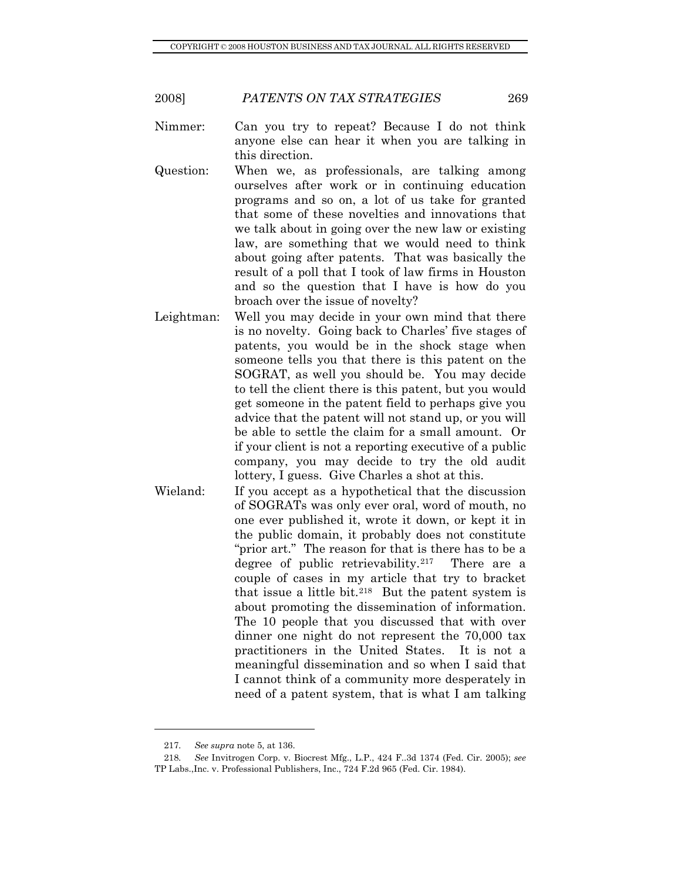- Nimmer: Can you try to repeat? Because I do not think anyone else can hear it when you are talking in this direction.
- Question: When we, as professionals, are talking among ourselves after work or in continuing education programs and so on, a lot of us take for granted that some of these novelties and innovations that we talk about in going over the new law or existing law, are something that we would need to think about going after patents. That was basically the result of a poll that I took of law firms in Houston and so the question that I have is how do you broach over the issue of novelty?
- Leightman: Well you may decide in your own mind that there is no novelty. Going back to Charles' five stages of patents, you would be in the shock stage when someone tells you that there is this patent on the SOGRAT, as well you should be. You may decide to tell the client there is this patent, but you would get someone in the patent field to perhaps give you advice that the patent will not stand up, or you will be able to settle the claim for a small amount. Or if your client is not a reporting executive of a public company, you may decide to try the old audit lottery, I guess. Give Charles a shot at this.
- Wieland: If you accept as a hypothetical that the discussion of SOGRATs was only ever oral, word of mouth, no one ever published it, wrote it down, or kept it in the public domain, it probably does not constitute "prior art." The reason for that is there has to be a degree of public retrievability.[217](#page-44-0) There are a couple of cases in my article that try to bracket that issue a little bit.[218](#page-44-1) But the patent system is about promoting the dissemination of information. The 10 people that you discussed that with over dinner one night do not represent the 70,000 tax practitioners in the United States. It is not a meaningful dissemination and so when I said that I cannot think of a community more desperately in need of a patent system, that is what I am talking

<sup>217</sup>*. See supra* note 5, at 136.

<span id="page-44-1"></span><span id="page-44-0"></span><sup>218</sup>*. See* Invitrogen Corp. v. Biocrest Mfg., L.P., 424 F..3d 1374 (Fed. Cir. 2005); *see*  TP Labs.,Inc. v. Professional Publishers, Inc., 724 F.2d 965 (Fed. Cir. 1984).